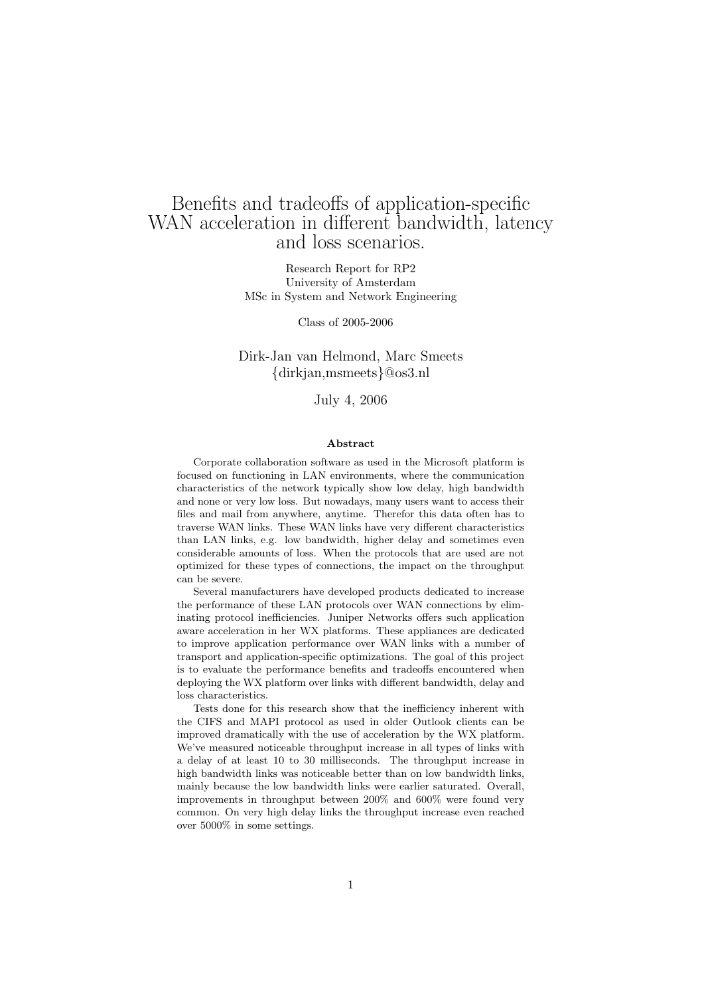# Benefits and tradeoffs of application-specific WAN acceleration in different bandwidth, latency and loss scenarios.

Research Report for RP2 University of Amsterdam MSc in System and Network Engineering

Class of 2005-2006

### Dirk-Jan van Helmond, Marc Smeets {dirkjan,msmeets}@os3.nl

#### July 4, 2006

#### Abstract

Corporate collaboration software as used in the Microsoft platform is focused on functioning in LAN environments, where the communication characteristics of the network typically show low delay, high bandwidth and none or very low loss. But nowadays, many users want to access their files and mail from anywhere, anytime. Therefor this data often has to traverse WAN links. These WAN links have very different characteristics than LAN links, e.g. low bandwidth, higher delay and sometimes even considerable amounts of loss. When the protocols that are used are not optimized for these types of connections, the impact on the throughput can be severe.

Several manufacturers have developed products dedicated to increase the performance of these LAN protocols over WAN connections by eliminating protocol inefficiencies. Juniper Networks offers such application aware acceleration in her WX platforms. These appliances are dedicated to improve application performance over WAN links with a number of transport and application-specific optimizations. The goal of this project is to evaluate the performance benefits and tradeoffs encountered when deploying the WX platform over links with different bandwidth, delay and loss characteristics.

Tests done for this research show that the inefficiency inherent with the CIFS and MAPI protocol as used in older Outlook clients can be improved dramatically with the use of acceleration by the WX platform. We've measured noticeable throughput increase in all types of links with a delay of at least 10 to 30 milliseconds. The throughput increase in high bandwidth links was noticeable better than on low bandwidth links, mainly because the low bandwidth links were earlier saturated. Overall, improvements in throughput between 200% and 600% were found very common. On very high delay links the throughput increase even reached over 5000% in some settings.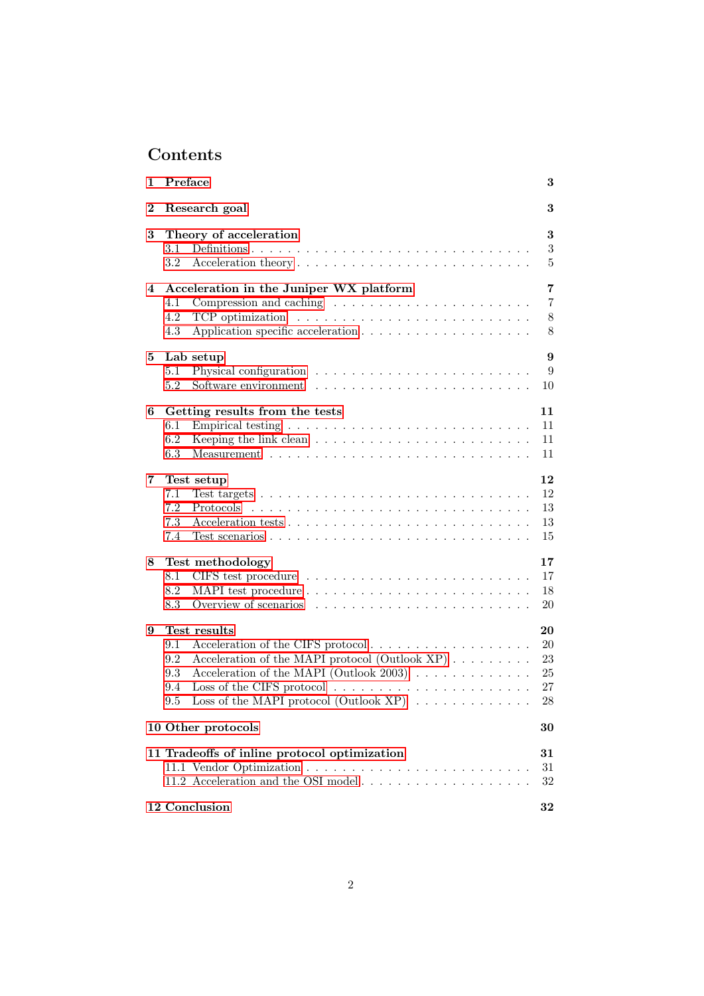# Contents

| 1        | Preface                                                                                                                                                                                                                                                                                 | 3                                          |
|----------|-----------------------------------------------------------------------------------------------------------------------------------------------------------------------------------------------------------------------------------------------------------------------------------------|--------------------------------------------|
| $\bf{2}$ | Research goal                                                                                                                                                                                                                                                                           | 3                                          |
| $\bf{3}$ | Theory of acceleration<br>3.1<br>3.2                                                                                                                                                                                                                                                    | 3<br>3<br>5                                |
| 4        | Acceleration in the Juniper WX platform<br>4.1<br>Compression and caching $\dots \dots \dots \dots \dots \dots \dots \dots$<br>4.2<br>TCP optimization $\ldots \ldots \ldots \ldots \ldots \ldots \ldots \ldots$<br>4.3                                                                 | $\overline{7}$<br>$\overline{7}$<br>8<br>8 |
| 5        | Lab setup<br>$5.1\,$<br>5.2                                                                                                                                                                                                                                                             | $\boldsymbol{9}$<br>9<br>10                |
| 6        | Getting results from the tests<br>$6.1\,$<br>6.2<br>6.3                                                                                                                                                                                                                                 | 11<br>11<br>11<br>11                       |
| 7        | Test setup<br>7.1<br>7.2<br>7.3<br>7.4                                                                                                                                                                                                                                                  | 12<br>12<br>13<br>13<br>15                 |
| 8        | Test methodology<br>8.1<br>8.2<br>8.3                                                                                                                                                                                                                                                   | 17<br>17<br>18<br>20                       |
| 9        | Test results<br>9.1<br>Acceleration of the CIFS protocol<br>Acceleration of the MAPI protocol (Outlook XP)<br>9.2<br>Acceleration of the MAPI (Outlook 2003) $\ldots \ldots \ldots \ldots$<br>9.3<br>9.4<br>Loss of the MAPI protocol (Outlook XP) $\ldots \ldots \ldots \ldots$<br>9.5 | 20<br>20<br>23<br>25<br>27<br>28           |
|          | 10 Other protocols                                                                                                                                                                                                                                                                      | 30                                         |
|          | 11 Tradeoffs of inline protocol optimization                                                                                                                                                                                                                                            | $\bf{31}$<br>31<br>32                      |
|          | 12 Conclusion                                                                                                                                                                                                                                                                           | $32\,$                                     |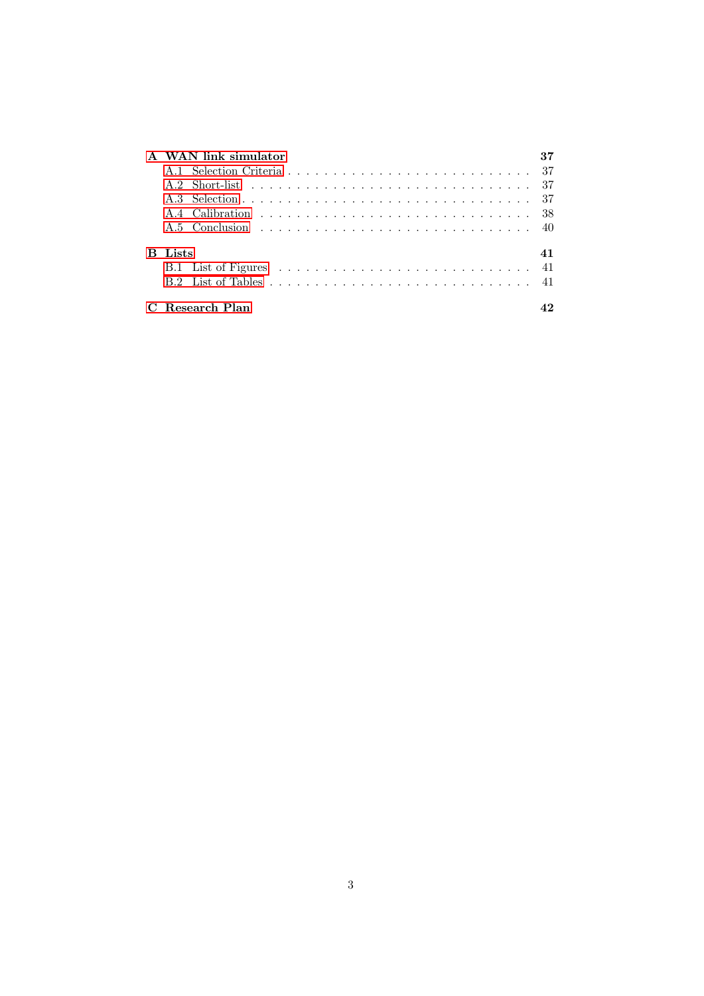|    | A WAN link simulator |     |
|----|----------------------|-----|
|    |                      | -37 |
|    |                      | -37 |
|    |                      |     |
|    |                      | -38 |
|    |                      |     |
| B. | Lists                | 41  |
|    |                      | 41  |
|    |                      |     |
|    | Research Plan        |     |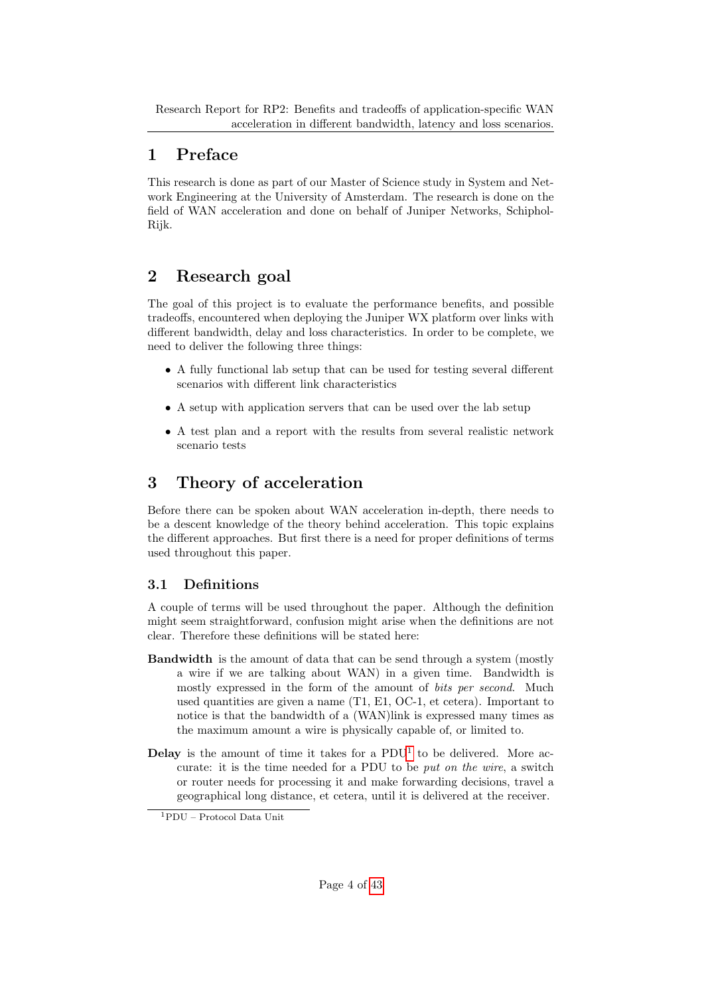# <span id="page-3-0"></span>1 Preface

This research is done as part of our Master of Science study in System and Network Engineering at the University of Amsterdam. The research is done on the field of WAN acceleration and done on behalf of Juniper Networks, Schiphol-Rijk.

# <span id="page-3-1"></span>2 Research goal

The goal of this project is to evaluate the performance benefits, and possible tradeoffs, encountered when deploying the Juniper WX platform over links with different bandwidth, delay and loss characteristics. In order to be complete, we need to deliver the following three things:

- A fully functional lab setup that can be used for testing several different scenarios with different link characteristics
- A setup with application servers that can be used over the lab setup
- A test plan and a report with the results from several realistic network scenario tests

# <span id="page-3-2"></span>3 Theory of acceleration

Before there can be spoken about WAN acceleration in-depth, there needs to be a descent knowledge of the theory behind acceleration. This topic explains the different approaches. But first there is a need for proper definitions of terms used throughout this paper.

# <span id="page-3-3"></span>3.1 Definitions

A couple of terms will be used throughout the paper. Although the definition might seem straightforward, confusion might arise when the definitions are not clear. Therefore these definitions will be stated here:

- Bandwidth is the amount of data that can be send through a system (mostly a wire if we are talking about WAN) in a given time. Bandwidth is mostly expressed in the form of the amount of bits per second. Much used quantities are given a name (T1, E1, OC-1, et cetera). Important to notice is that the bandwidth of a (WAN)link is expressed many times as the maximum amount a wire is physically capable of, or limited to.
- **Delay** is the amount of time it takes for a  $PDU<sup>1</sup>$  $PDU<sup>1</sup>$  $PDU<sup>1</sup>$  to be delivered. More accurate: it is the time needed for a PDU to be put on the wire, a switch or router needs for processing it and make forwarding decisions, travel a geographical long distance, et cetera, until it is delivered at the receiver.

<span id="page-3-4"></span><sup>1</sup>PDU – Protocol Data Unit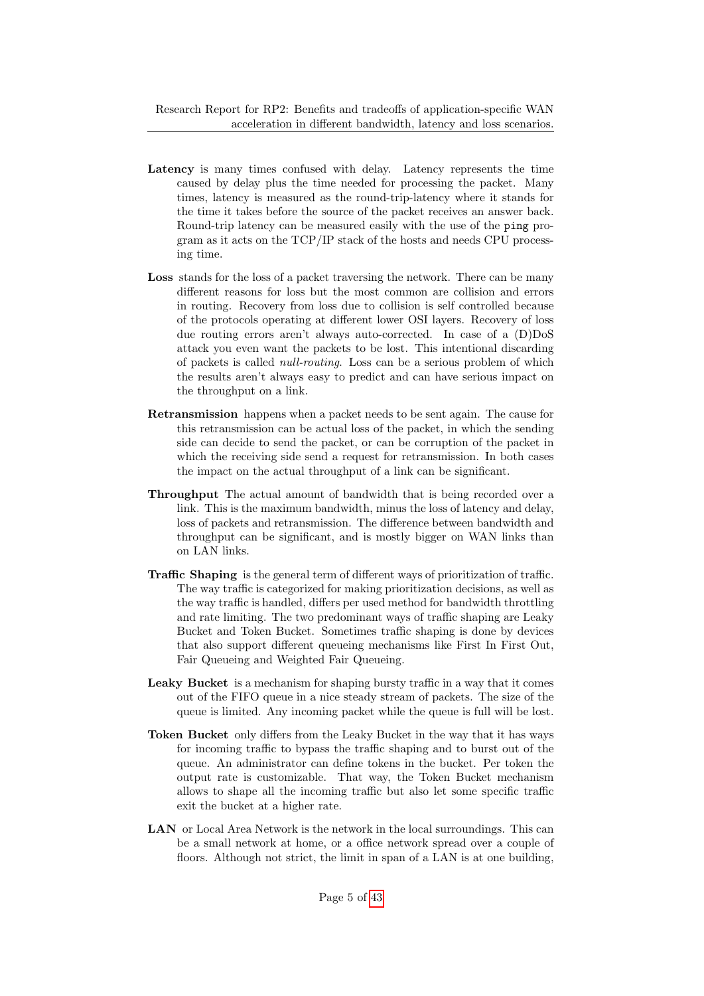- Latency is many times confused with delay. Latency represents the time caused by delay plus the time needed for processing the packet. Many times, latency is measured as the round-trip-latency where it stands for the time it takes before the source of the packet receives an answer back. Round-trip latency can be measured easily with the use of the ping program as it acts on the TCP/IP stack of the hosts and needs CPU processing time.
- Loss stands for the loss of a packet traversing the network. There can be many different reasons for loss but the most common are collision and errors in routing. Recovery from loss due to collision is self controlled because of the protocols operating at different lower OSI layers. Recovery of loss due routing errors aren't always auto-corrected. In case of a (D)DoS attack you even want the packets to be lost. This intentional discarding of packets is called null-routing. Loss can be a serious problem of which the results aren't always easy to predict and can have serious impact on the throughput on a link.
- Retransmission happens when a packet needs to be sent again. The cause for this retransmission can be actual loss of the packet, in which the sending side can decide to send the packet, or can be corruption of the packet in which the receiving side send a request for retransmission. In both cases the impact on the actual throughput of a link can be significant.
- Throughput The actual amount of bandwidth that is being recorded over a link. This is the maximum bandwidth, minus the loss of latency and delay, loss of packets and retransmission. The difference between bandwidth and throughput can be significant, and is mostly bigger on WAN links than on LAN links.
- Traffic Shaping is the general term of different ways of prioritization of traffic. The way traffic is categorized for making prioritization decisions, as well as the way traffic is handled, differs per used method for bandwidth throttling and rate limiting. The two predominant ways of traffic shaping are Leaky Bucket and Token Bucket. Sometimes traffic shaping is done by devices that also support different queueing mechanisms like First In First Out, Fair Queueing and Weighted Fair Queueing.
- Leaky Bucket is a mechanism for shaping bursty traffic in a way that it comes out of the FIFO queue in a nice steady stream of packets. The size of the queue is limited. Any incoming packet while the queue is full will be lost.
- Token Bucket only differs from the Leaky Bucket in the way that it has ways for incoming traffic to bypass the traffic shaping and to burst out of the queue. An administrator can define tokens in the bucket. Per token the output rate is customizable. That way, the Token Bucket mechanism allows to shape all the incoming traffic but also let some specific traffic exit the bucket at a higher rate.
- LAN or Local Area Network is the network in the local surroundings. This can be a small network at home, or a office network spread over a couple of floors. Although not strict, the limit in span of a LAN is at one building,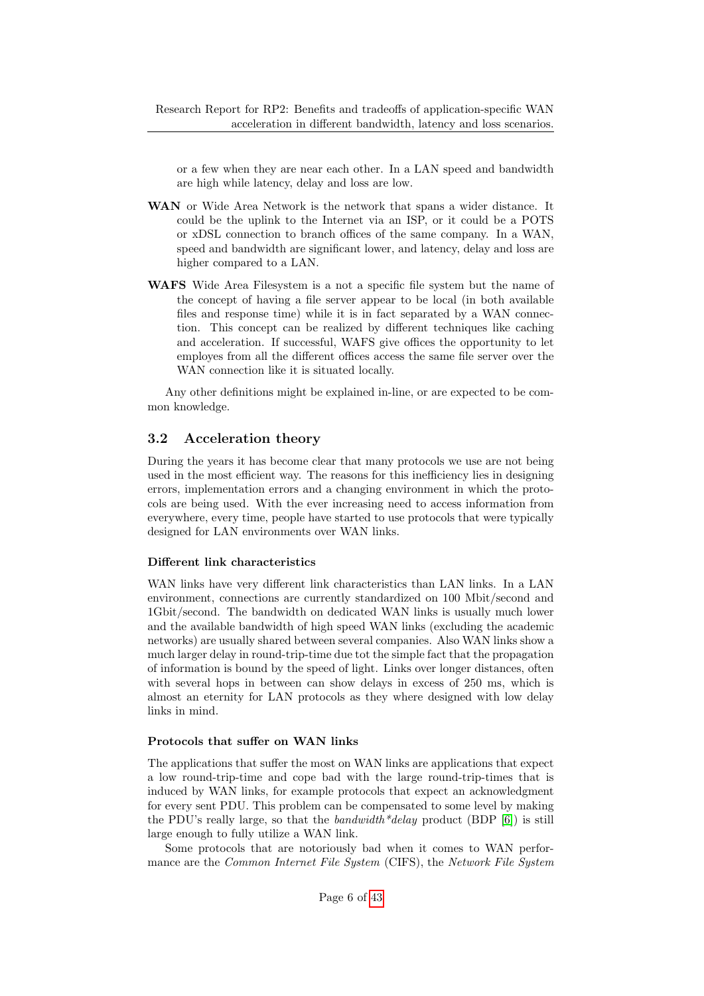or a few when they are near each other. In a LAN speed and bandwidth are high while latency, delay and loss are low.

- WAN or Wide Area Network is the network that spans a wider distance. It could be the uplink to the Internet via an ISP, or it could be a POTS or xDSL connection to branch offices of the same company. In a WAN, speed and bandwidth are significant lower, and latency, delay and loss are higher compared to a LAN.
- WAFS Wide Area Filesystem is a not a specific file system but the name of the concept of having a file server appear to be local (in both available files and response time) while it is in fact separated by a WAN connection. This concept can be realized by different techniques like caching and acceleration. If successful, WAFS give offices the opportunity to let employes from all the different offices access the same file server over the WAN connection like it is situated locally.

Any other definitions might be explained in-line, or are expected to be common knowledge.

## <span id="page-5-0"></span>3.2 Acceleration theory

During the years it has become clear that many protocols we use are not being used in the most efficient way. The reasons for this inefficiency lies in designing errors, implementation errors and a changing environment in which the protocols are being used. With the ever increasing need to access information from everywhere, every time, people have started to use protocols that were typically designed for LAN environments over WAN links.

#### Different link characteristics

WAN links have very different link characteristics than LAN links. In a LAN environment, connections are currently standardized on 100 Mbit/second and 1Gbit/second. The bandwidth on dedicated WAN links is usually much lower and the available bandwidth of high speed WAN links (excluding the academic networks) are usually shared between several companies. Also WAN links show a much larger delay in round-trip-time due tot the simple fact that the propagation of information is bound by the speed of light. Links over longer distances, often with several hops in between can show delays in excess of 250 ms, which is almost an eternity for LAN protocols as they where designed with low delay links in mind.

#### Protocols that suffer on WAN links

The applications that suffer the most on WAN links are applications that expect a low round-trip-time and cope bad with the large round-trip-times that is induced by WAN links, for example protocols that expect an acknowledgment for every sent PDU. This problem can be compensated to some level by making the PDU's really large, so that the *bandwidth*<sup>\*</sup>delay product (BDP  $[6]$ ) is still large enough to fully utilize a WAN link.

Some protocols that are notoriously bad when it comes to WAN performance are the *Common Internet File System* (CIFS), the *Network File System*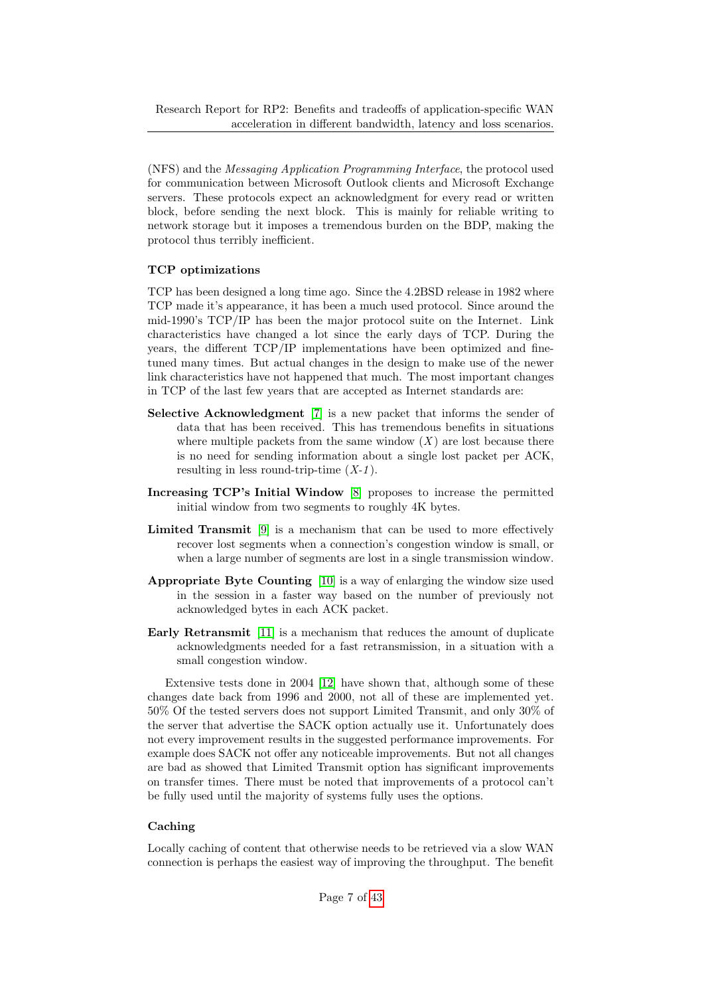(NFS) and the Messaging Application Programming Interface, the protocol used for communication between Microsoft Outlook clients and Microsoft Exchange servers. These protocols expect an acknowledgment for every read or written block, before sending the next block. This is mainly for reliable writing to network storage but it imposes a tremendous burden on the BDP, making the protocol thus terribly inefficient.

### TCP optimizations

TCP has been designed a long time ago. Since the 4.2BSD release in 1982 where TCP made it's appearance, it has been a much used protocol. Since around the mid-1990's TCP/IP has been the major protocol suite on the Internet. Link characteristics have changed a lot since the early days of TCP. During the years, the different TCP/IP implementations have been optimized and finetuned many times. But actual changes in the design to make use of the newer link characteristics have not happened that much. The most important changes in TCP of the last few years that are accepted as Internet standards are:

- Selective Acknowledgment [\[7\]](#page-35-1) is a new packet that informs the sender of data that has been received. This has tremendous benefits in situations where multiple packets from the same window  $(X)$  are lost because there is no need for sending information about a single lost packet per ACK, resulting in less round-trip-time  $(X-1)$ .
- Increasing TCP's Initial Window [\[8\]](#page-35-2) proposes to increase the permitted initial window from two segments to roughly 4K bytes.
- Limited Transmit [\[9\]](#page-35-3) is a mechanism that can be used to more effectively recover lost segments when a connection's congestion window is small, or when a large number of segments are lost in a single transmission window.
- Appropriate Byte Counting [\[10\]](#page-35-4) is a way of enlarging the window size used in the session in a faster way based on the number of previously not acknowledged bytes in each ACK packet.
- Early Retransmit [\[11\]](#page-35-5) is a mechanism that reduces the amount of duplicate acknowledgments needed for a fast retransmission, in a situation with a small congestion window.

Extensive tests done in 2004 [\[12\]](#page-35-6) have shown that, although some of these changes date back from 1996 and 2000, not all of these are implemented yet. 50% Of the tested servers does not support Limited Transmit, and only 30% of the server that advertise the SACK option actually use it. Unfortunately does not every improvement results in the suggested performance improvements. For example does SACK not offer any noticeable improvements. But not all changes are bad as showed that Limited Transmit option has significant improvements on transfer times. There must be noted that improvements of a protocol can't be fully used until the majority of systems fully uses the options.

## Caching

Locally caching of content that otherwise needs to be retrieved via a slow WAN connection is perhaps the easiest way of improving the throughput. The benefit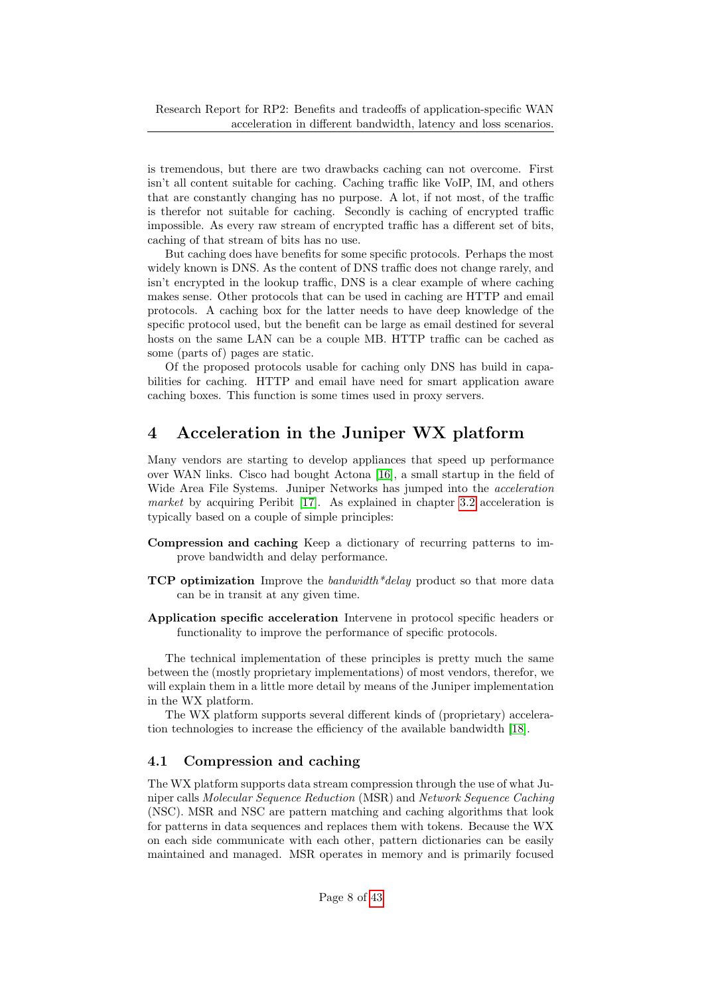is tremendous, but there are two drawbacks caching can not overcome. First isn't all content suitable for caching. Caching traffic like VoIP, IM, and others that are constantly changing has no purpose. A lot, if not most, of the traffic is therefor not suitable for caching. Secondly is caching of encrypted traffic impossible. As every raw stream of encrypted traffic has a different set of bits, caching of that stream of bits has no use.

But caching does have benefits for some specific protocols. Perhaps the most widely known is DNS. As the content of DNS traffic does not change rarely, and isn't encrypted in the lookup traffic, DNS is a clear example of where caching makes sense. Other protocols that can be used in caching are HTTP and email protocols. A caching box for the latter needs to have deep knowledge of the specific protocol used, but the benefit can be large as email destined for several hosts on the same LAN can be a couple MB. HTTP traffic can be cached as some (parts of) pages are static.

Of the proposed protocols usable for caching only DNS has build in capabilities for caching. HTTP and email have need for smart application aware caching boxes. This function is some times used in proxy servers.

# <span id="page-7-0"></span>4 Acceleration in the Juniper WX platform

Many vendors are starting to develop appliances that speed up performance over WAN links. Cisco had bought Actona [\[16\]](#page-35-7), a small startup in the field of Wide Area File Systems. Juniper Networks has jumped into the acceleration market by acquiring Peribit [\[17\]](#page-35-8). As explained in chapter [3.2](#page-5-0) acceleration is typically based on a couple of simple principles:

- Compression and caching Keep a dictionary of recurring patterns to improve bandwidth and delay performance.
- **TCP optimization** Improve the bandwidth  $d$ delay product so that more data can be in transit at any given time.
- Application specific acceleration Intervene in protocol specific headers or functionality to improve the performance of specific protocols.

The technical implementation of these principles is pretty much the same between the (mostly proprietary implementations) of most vendors, therefor, we will explain them in a little more detail by means of the Juniper implementation in the WX platform.

The WX platform supports several different kinds of (proprietary) acceleration technologies to increase the efficiency of the available bandwidth [\[18\]](#page-36-0).

## <span id="page-7-1"></span>4.1 Compression and caching

The WX platform supports data stream compression through the use of what Juniper calls Molecular Sequence Reduction (MSR) and Network Sequence Caching (NSC). MSR and NSC are pattern matching and caching algorithms that look for patterns in data sequences and replaces them with tokens. Because the WX on each side communicate with each other, pattern dictionaries can be easily maintained and managed. MSR operates in memory and is primarily focused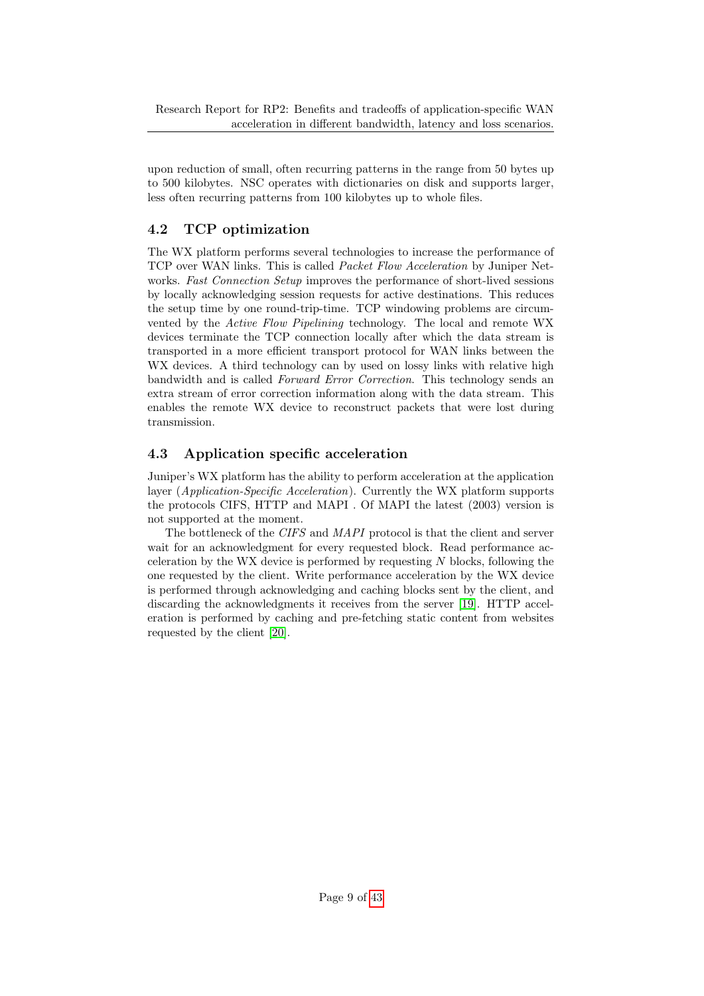Research Report for RP2: Benefits and tradeoffs of application-specific WAN acceleration in different bandwidth, latency and loss scenarios.

upon reduction of small, often recurring patterns in the range from 50 bytes up to 500 kilobytes. NSC operates with dictionaries on disk and supports larger, less often recurring patterns from 100 kilobytes up to whole files.

## <span id="page-8-0"></span>4.2 TCP optimization

The WX platform performs several technologies to increase the performance of TCP over WAN links. This is called Packet Flow Acceleration by Juniper Networks. Fast Connection Setup improves the performance of short-lived sessions by locally acknowledging session requests for active destinations. This reduces the setup time by one round-trip-time. TCP windowing problems are circumvented by the Active Flow Pipelining technology. The local and remote WX devices terminate the TCP connection locally after which the data stream is transported in a more efficient transport protocol for WAN links between the WX devices. A third technology can by used on lossy links with relative high bandwidth and is called Forward Error Correction. This technology sends an extra stream of error correction information along with the data stream. This enables the remote WX device to reconstruct packets that were lost during transmission.

## <span id="page-8-1"></span>4.3 Application specific acceleration

Juniper's WX platform has the ability to perform acceleration at the application layer (*Application-Specific Acceleration*). Currently the WX platform supports the protocols CIFS, HTTP and MAPI . Of MAPI the latest (2003) version is not supported at the moment.

The bottleneck of the CIFS and MAPI protocol is that the client and server wait for an acknowledgment for every requested block. Read performance acceleration by the WX device is performed by requesting  $N$  blocks, following the one requested by the client. Write performance acceleration by the WX device is performed through acknowledging and caching blocks sent by the client, and discarding the acknowledgments it receives from the server [\[19\]](#page-36-1). HTTP acceleration is performed by caching and pre-fetching static content from websites requested by the client [\[20\]](#page-36-2).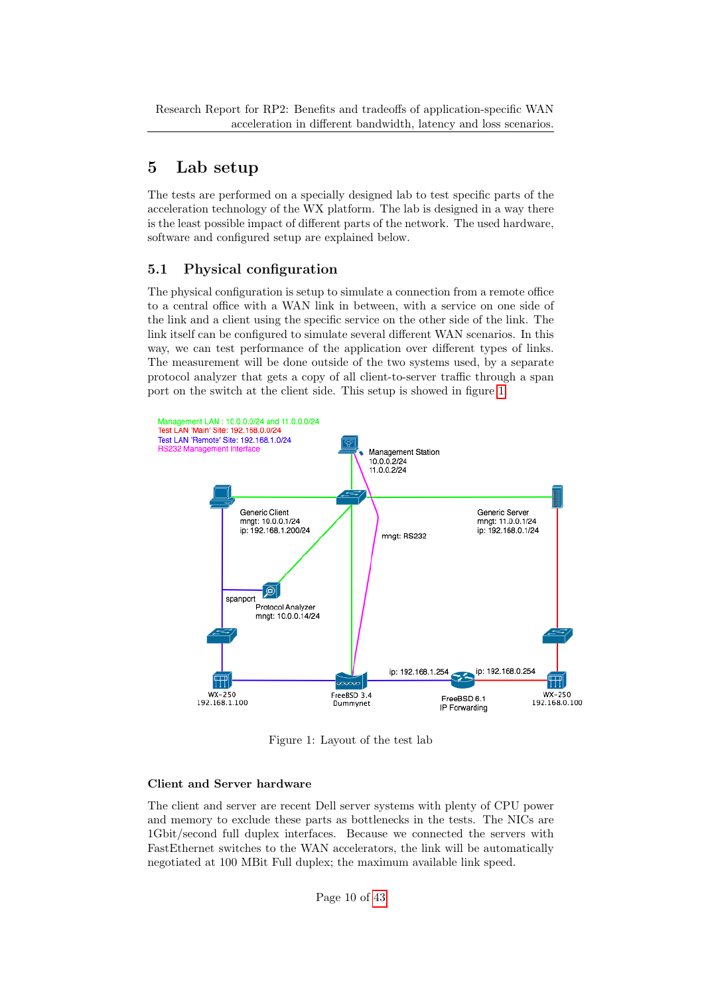# <span id="page-9-0"></span>5 Lab setup

The tests are performed on a specially designed lab to test specific parts of the acceleration technology of the WX platform. The lab is designed in a way there is the least possible impact of different parts of the network. The used hardware, software and configured setup are explained below.

## <span id="page-9-1"></span>5.1 Physical configuration

The physical configuration is setup to simulate a connection from a remote office to a central office with a WAN link in between, with a service on one side of the link and a client using the specific service on the other side of the link. The link itself can be configured to simulate several different WAN scenarios. In this way, we can test performance of the application over different types of links. The measurement will be done outside of the two systems used, by a separate protocol analyzer that gets a copy of all client-to-server traffic through a span port on the switch at the client side. This setup is showed in figure [1.](#page-9-2)



<span id="page-9-2"></span>Figure 1: Layout of the test lab

## Client and Server hardware

The client and server are recent Dell server systems with plenty of CPU power and memory to exclude these parts as bottlenecks in the tests. The NICs are 1Gbit/second full duplex interfaces. Because we connected the servers with FastEthernet switches to the WAN accelerators, the link will be automatically negotiated at 100 MBit Full duplex; the maximum available link speed.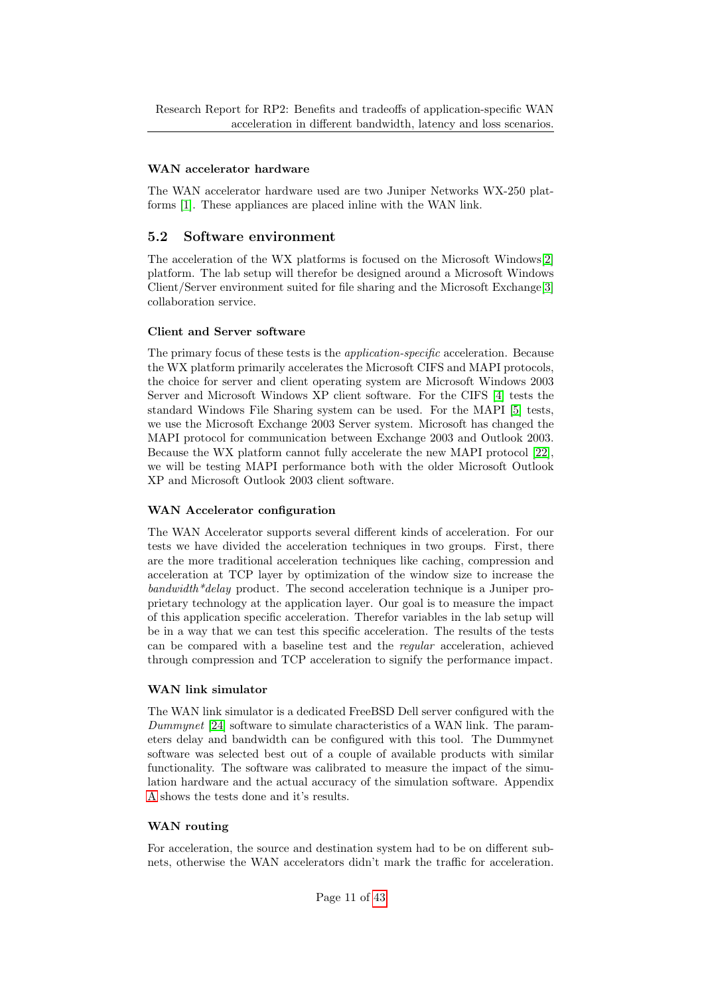### WAN accelerator hardware

The WAN accelerator hardware used are two Juniper Networks WX-250 platforms [\[1\]](#page-35-9). These appliances are placed inline with the WAN link.

## <span id="page-10-0"></span>5.2 Software environment

The acceleration of the WX platforms is focused on the Microsoft Windows[\[2\]](#page-35-10) platform. The lab setup will therefor be designed around a Microsoft Windows Client/Server environment suited for file sharing and the Microsoft Exchange[\[3\]](#page-35-11) collaboration service.

#### Client and Server software

The primary focus of these tests is the application-specific acceleration. Because the WX platform primarily accelerates the Microsoft CIFS and MAPI protocols, the choice for server and client operating system are Microsoft Windows 2003 Server and Microsoft Windows XP client software. For the CIFS [\[4\]](#page-35-12) tests the standard Windows File Sharing system can be used. For the MAPI [\[5\]](#page-35-13) tests, we use the Microsoft Exchange 2003 Server system. Microsoft has changed the MAPI protocol for communication between Exchange 2003 and Outlook 2003. Because the WX platform cannot fully accelerate the new MAPI protocol [\[22\]](#page-36-3), we will be testing MAPI performance both with the older Microsoft Outlook XP and Microsoft Outlook 2003 client software.

#### WAN Accelerator configuration

The WAN Accelerator supports several different kinds of acceleration. For our tests we have divided the acceleration techniques in two groups. First, there are the more traditional acceleration techniques like caching, compression and acceleration at TCP layer by optimization of the window size to increase the  $bandwidth*delay$  product. The second acceleration technique is a Juniper proprietary technology at the application layer. Our goal is to measure the impact of this application specific acceleration. Therefor variables in the lab setup will be in a way that we can test this specific acceleration. The results of the tests can be compared with a baseline test and the regular acceleration, achieved through compression and TCP acceleration to signify the performance impact.

## WAN link simulator

The WAN link simulator is a dedicated FreeBSD Dell server configured with the Dummynet [\[24\]](#page-36-4) software to simulate characteristics of a WAN link. The parameters delay and bandwidth can be configured with this tool. The Dummynet software was selected best out of a couple of available products with similar functionality. The software was calibrated to measure the impact of the simulation hardware and the actual accuracy of the simulation software. Appendix [A](#page-37-0) shows the tests done and it's results.

#### WAN routing

For acceleration, the source and destination system had to be on different subnets, otherwise the WAN accelerators didn't mark the traffic for acceleration.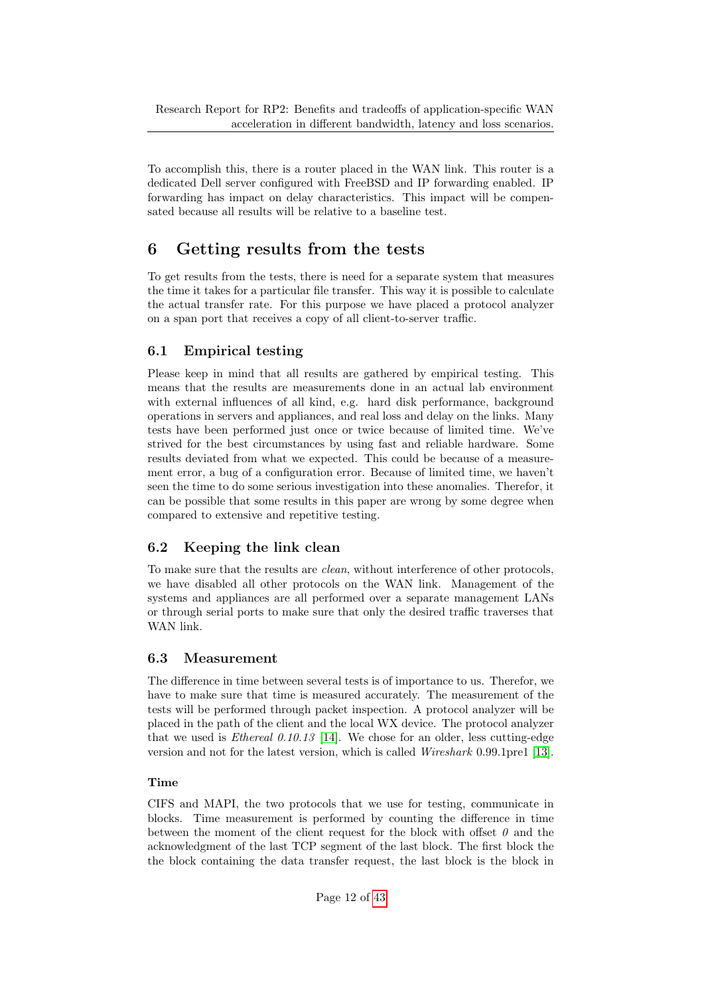To accomplish this, there is a router placed in the WAN link. This router is a dedicated Dell server configured with FreeBSD and IP forwarding enabled. IP forwarding has impact on delay characteristics. This impact will be compensated because all results will be relative to a baseline test.

# <span id="page-11-0"></span>6 Getting results from the tests

To get results from the tests, there is need for a separate system that measures the time it takes for a particular file transfer. This way it is possible to calculate the actual transfer rate. For this purpose we have placed a protocol analyzer on a span port that receives a copy of all client-to-server traffic.

## <span id="page-11-1"></span>6.1 Empirical testing

Please keep in mind that all results are gathered by empirical testing. This means that the results are measurements done in an actual lab environment with external influences of all kind, e.g. hard disk performance, background operations in servers and appliances, and real loss and delay on the links. Many tests have been performed just once or twice because of limited time. We've strived for the best circumstances by using fast and reliable hardware. Some results deviated from what we expected. This could be because of a measurement error, a bug of a configuration error. Because of limited time, we haven't seen the time to do some serious investigation into these anomalies. Therefor, it can be possible that some results in this paper are wrong by some degree when compared to extensive and repetitive testing.

## <span id="page-11-2"></span>6.2 Keeping the link clean

To make sure that the results are clean, without interference of other protocols, we have disabled all other protocols on the WAN link. Management of the systems and appliances are all performed over a separate management LANs or through serial ports to make sure that only the desired traffic traverses that WAN link.

## <span id="page-11-3"></span>6.3 Measurement

The difference in time between several tests is of importance to us. Therefor, we have to make sure that time is measured accurately. The measurement of the tests will be performed through packet inspection. A protocol analyzer will be placed in the path of the client and the local WX device. The protocol analyzer that we used is *Ethereal*  $0.10.13$  [\[14\]](#page-35-14). We chose for an older, less cutting-edge version and not for the latest version, which is called Wireshark 0.99.1pre1 [\[13\]](#page-35-15).

## Time

CIFS and MAPI, the two protocols that we use for testing, communicate in blocks. Time measurement is performed by counting the difference in time between the moment of the client request for the block with offset  $\theta$  and the acknowledgment of the last TCP segment of the last block. The first block the the block containing the data transfer request, the last block is the block in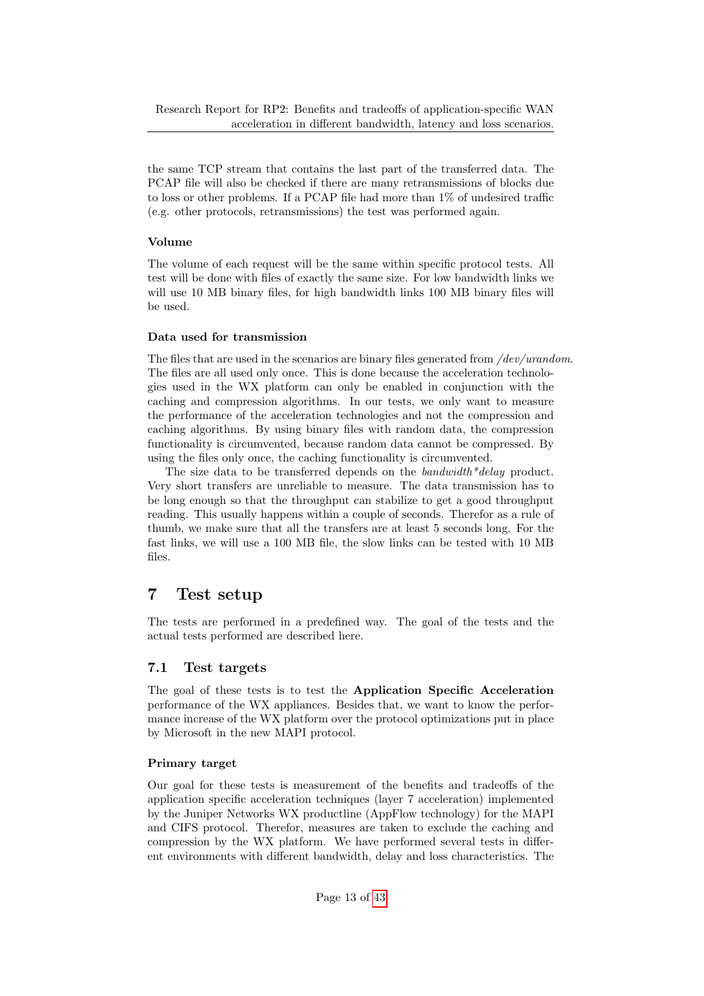the same TCP stream that contains the last part of the transferred data. The PCAP file will also be checked if there are many retransmissions of blocks due to loss or other problems. If a PCAP file had more than 1% of undesired traffic (e.g. other protocols, retransmissions) the test was performed again.

## Volume

The volume of each request will be the same within specific protocol tests. All test will be done with files of exactly the same size. For low bandwidth links we will use 10 MB binary files, for high bandwidth links 100 MB binary files will be used.

#### Data used for transmission

The files that are used in the scenarios are binary files generated from */dev/urandom.* The files are all used only once. This is done because the acceleration technologies used in the WX platform can only be enabled in conjunction with the caching and compression algorithms. In our tests, we only want to measure the performance of the acceleration technologies and not the compression and caching algorithms. By using binary files with random data, the compression functionality is circumvented, because random data cannot be compressed. By using the files only once, the caching functionality is circumvented.

The size data to be transferred depends on the bandwidth\*delay product. Very short transfers are unreliable to measure. The data transmission has to be long enough so that the throughput can stabilize to get a good throughput reading. This usually happens within a couple of seconds. Therefor as a rule of thumb, we make sure that all the transfers are at least 5 seconds long. For the fast links, we will use a 100 MB file, the slow links can be tested with 10 MB files.

# <span id="page-12-0"></span>7 Test setup

The tests are performed in a predefined way. The goal of the tests and the actual tests performed are described here.

## <span id="page-12-1"></span>7.1 Test targets

The goal of these tests is to test the Application Specific Acceleration performance of the WX appliances. Besides that, we want to know the performance increase of the WX platform over the protocol optimizations put in place by Microsoft in the new MAPI protocol.

## Primary target

Our goal for these tests is measurement of the benefits and tradeoffs of the application specific acceleration techniques (layer 7 acceleration) implemented by the Juniper Networks WX productline (AppFlow technology) for the MAPI and CIFS protocol. Therefor, measures are taken to exclude the caching and compression by the WX platform. We have performed several tests in different environments with different bandwidth, delay and loss characteristics. The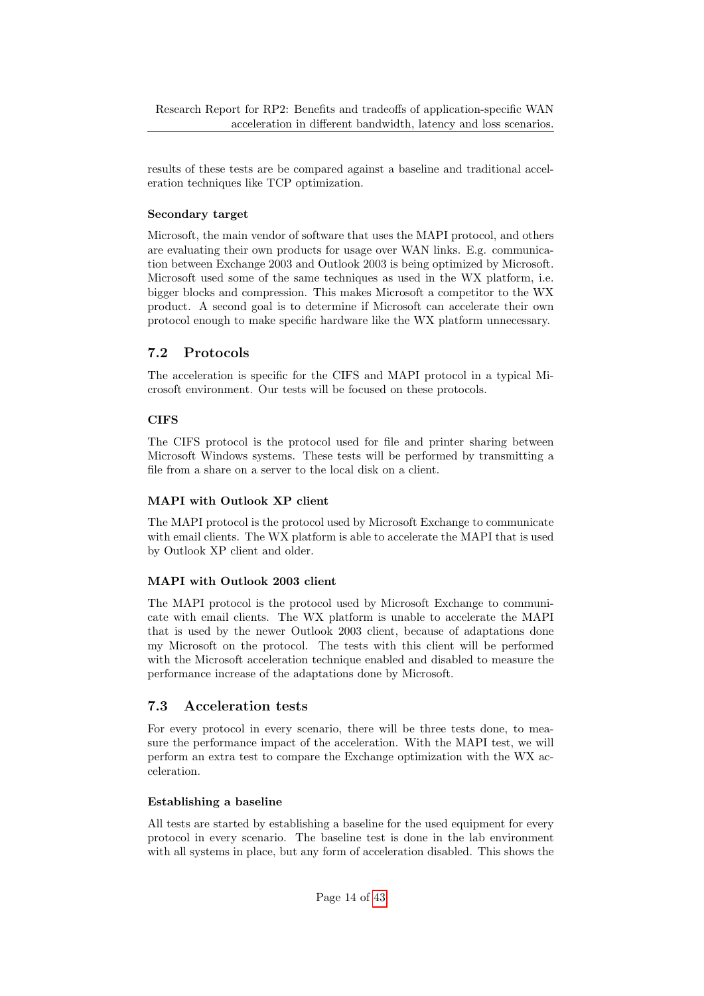results of these tests are be compared against a baseline and traditional acceleration techniques like TCP optimization.

### Secondary target

Microsoft, the main vendor of software that uses the MAPI protocol, and others are evaluating their own products for usage over WAN links. E.g. communication between Exchange 2003 and Outlook 2003 is being optimized by Microsoft. Microsoft used some of the same techniques as used in the WX platform, i.e. bigger blocks and compression. This makes Microsoft a competitor to the WX product. A second goal is to determine if Microsoft can accelerate their own protocol enough to make specific hardware like the WX platform unnecessary.

## <span id="page-13-0"></span>7.2 Protocols

The acceleration is specific for the CIFS and MAPI protocol in a typical Microsoft environment. Our tests will be focused on these protocols.

## **CIFS**

The CIFS protocol is the protocol used for file and printer sharing between Microsoft Windows systems. These tests will be performed by transmitting a file from a share on a server to the local disk on a client.

#### MAPI with Outlook XP client

The MAPI protocol is the protocol used by Microsoft Exchange to communicate with email clients. The WX platform is able to accelerate the MAPI that is used by Outlook XP client and older.

## MAPI with Outlook 2003 client

The MAPI protocol is the protocol used by Microsoft Exchange to communicate with email clients. The WX platform is unable to accelerate the MAPI that is used by the newer Outlook 2003 client, because of adaptations done my Microsoft on the protocol. The tests with this client will be performed with the Microsoft acceleration technique enabled and disabled to measure the performance increase of the adaptations done by Microsoft.

## <span id="page-13-1"></span>7.3 Acceleration tests

For every protocol in every scenario, there will be three tests done, to measure the performance impact of the acceleration. With the MAPI test, we will perform an extra test to compare the Exchange optimization with the WX acceleration.

#### Establishing a baseline

All tests are started by establishing a baseline for the used equipment for every protocol in every scenario. The baseline test is done in the lab environment with all systems in place, but any form of acceleration disabled. This shows the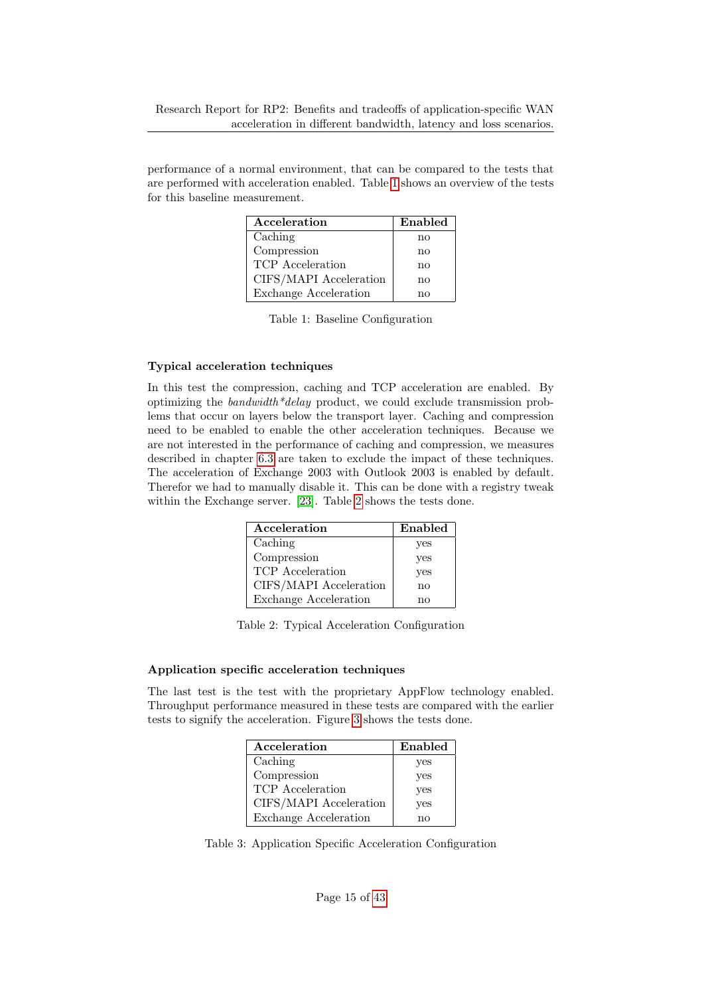performance of a normal environment, that can be compared to the tests that are performed with acceleration enabled. Table [1](#page-14-0) shows an overview of the tests for this baseline measurement.

| Acceleration           | Enabled |
|------------------------|---------|
| Caching                | no      |
| Compression            | no      |
| TCP Acceleration       | no      |
| CIFS/MAPI Acceleration | no      |
| Exchange Acceleration  | nο      |

<span id="page-14-0"></span>

| Table 1: Baseline Configuration |  |  |  |  |
|---------------------------------|--|--|--|--|
|---------------------------------|--|--|--|--|

#### Typical acceleration techniques

In this test the compression, caching and TCP acceleration are enabled. By optimizing the bandwidth\*delay product, we could exclude transmission problems that occur on layers below the transport layer. Caching and compression need to be enabled to enable the other acceleration techniques. Because we are not interested in the performance of caching and compression, we measures described in chapter [6.3](#page-11-3) are taken to exclude the impact of these techniques. The acceleration of Exchange 2003 with Outlook 2003 is enabled by default. Therefor we had to manually disable it. This can be done with a registry tweak within the Exchange server. [\[23\]](#page-36-5). Table [2](#page-14-1) shows the tests done.

| Acceleration           | Enabled |
|------------------------|---------|
| Caching                | yes     |
| Compression            | yes     |
| TCP Acceleration       | yes     |
| CIFS/MAPI Acceleration | no      |
| Exchange Acceleration  | nο      |

<span id="page-14-1"></span>

#### Application specific acceleration techniques

The last test is the test with the proprietary AppFlow technology enabled. Throughput performance measured in these tests are compared with the earlier tests to signify the acceleration. Figure [3](#page-14-2) shows the tests done.

| Acceleration                 | Enabled |
|------------------------------|---------|
| Caching                      | yes     |
| Compression                  | yes     |
| TCP Acceleration             | yes     |
| CIFS/MAPI Acceleration       | yes     |
| <b>Exchange Acceleration</b> | nο      |

<span id="page-14-2"></span>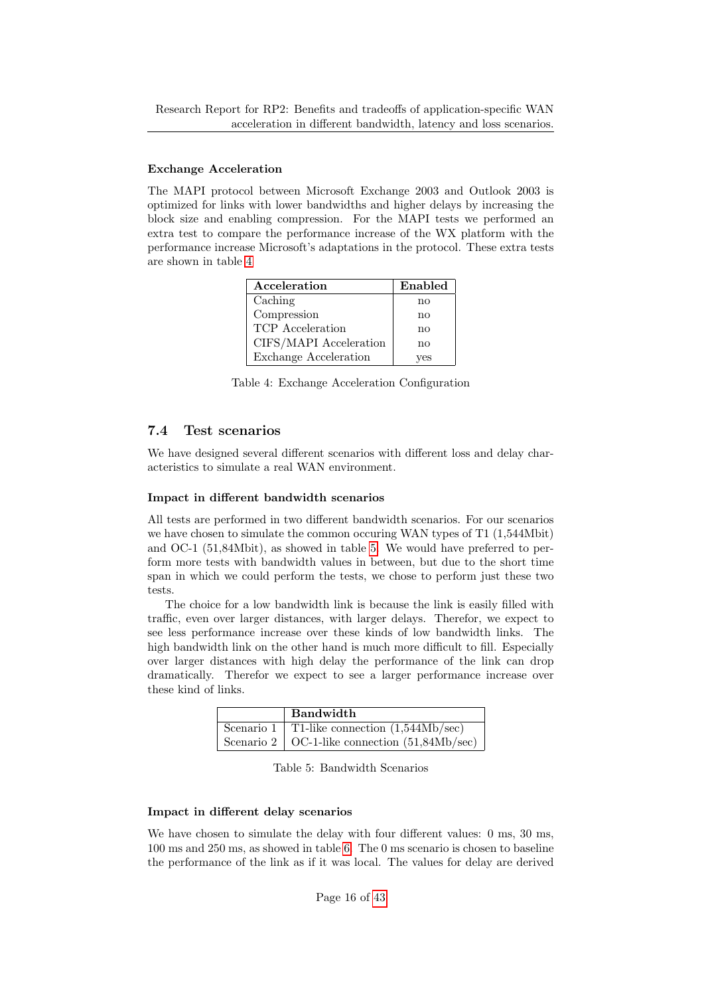#### Exchange Acceleration

The MAPI protocol between Microsoft Exchange 2003 and Outlook 2003 is optimized for links with lower bandwidths and higher delays by increasing the block size and enabling compression. For the MAPI tests we performed an extra test to compare the performance increase of the WX platform with the performance increase Microsoft's adaptations in the protocol. These extra tests are shown in table [4](#page-15-1)

| Acceleration                 | Enabled |
|------------------------------|---------|
| Caching                      | no      |
| Compression                  | no      |
| TCP Acceleration             | no      |
| CIFS/MAPI Acceleration       | no      |
| <b>Exchange Acceleration</b> | ves     |

<span id="page-15-1"></span>Table 4: Exchange Acceleration Configuration

## <span id="page-15-0"></span>7.4 Test scenarios

We have designed several different scenarios with different loss and delay characteristics to simulate a real WAN environment.

#### Impact in different bandwidth scenarios

All tests are performed in two different bandwidth scenarios. For our scenarios we have chosen to simulate the common occuring WAN types of T1  $(1,544Mbit)$ and OC-1 (51,84Mbit), as showed in table [5.](#page-15-2) We would have preferred to perform more tests with bandwidth values in between, but due to the short time span in which we could perform the tests, we chose to perform just these two tests.

The choice for a low bandwidth link is because the link is easily filled with traffic, even over larger distances, with larger delays. Therefor, we expect to see less performance increase over these kinds of low bandwidth links. The high bandwidth link on the other hand is much more difficult to fill. Especially over larger distances with high delay the performance of the link can drop dramatically. Therefor we expect to see a larger performance increase over these kind of links.

| Bandwidth                                                                             |
|---------------------------------------------------------------------------------------|
| $\overline{\text{Scenario 1} \mid \text{T1-like connection} \ (1,544 \text{Mb/sec})}$ |
| Scenario 2   OC-1-like connection $(51,84Mb/sec)$                                     |

<span id="page-15-2"></span>Table 5: Bandwidth Scenarios

#### Impact in different delay scenarios

We have chosen to simulate the delay with four different values: 0 ms, 30 ms, 100 ms and 250 ms, as showed in table [6.](#page-16-0) The 0 ms scenario is chosen to baseline the performance of the link as if it was local. The values for delay are derived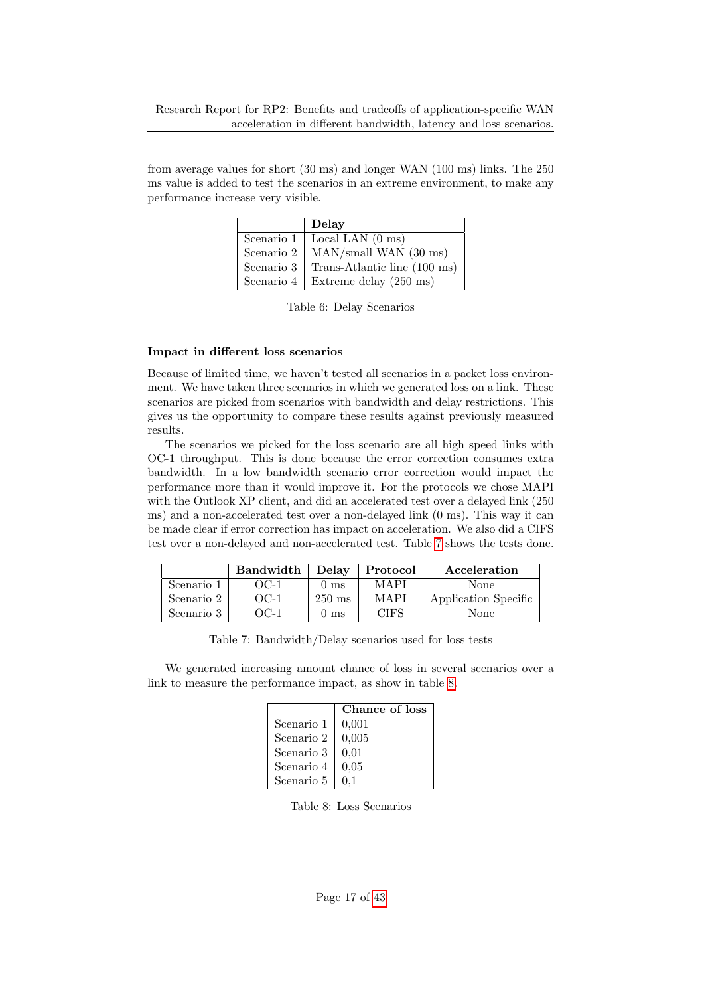from average values for short (30 ms) and longer WAN (100 ms) links. The 250 ms value is added to test the scenarios in an extreme environment, to make any performance increase very visible.

|            | Delay                            |
|------------|----------------------------------|
| Scenario 1 | Local LAN $(0 \text{ ms})$       |
| Scenario 2 | $MAN/small$ WAN (30 ms)          |
| Scenario 3 | Trans-Atlantic line (100 ms)     |
| Scenario 4 | Extreme delay $(250 \text{ ms})$ |

<span id="page-16-0"></span>Table 6: Delay Scenarios

#### Impact in different loss scenarios

Because of limited time, we haven't tested all scenarios in a packet loss environment. We have taken three scenarios in which we generated loss on a link. These scenarios are picked from scenarios with bandwidth and delay restrictions. This gives us the opportunity to compare these results against previously measured results.

The scenarios we picked for the loss scenario are all high speed links with OC-1 throughput. This is done because the error correction consumes extra bandwidth. In a low bandwidth scenario error correction would impact the performance more than it would improve it. For the protocols we chose MAPI with the Outlook XP client, and did an accelerated test over a delayed link (250 ms) and a non-accelerated test over a non-delayed link (0 ms). This way it can be made clear if error correction has impact on acceleration. We also did a CIFS test over a non-delayed and non-accelerated test. Table [7](#page-16-1) shows the tests done.

|            | <b>Bandwidth</b> | <b>Delay</b>     | Protocol    | Acceleration         |
|------------|------------------|------------------|-------------|----------------------|
| Scenario 1 | OC-1             | 0 <sub>ms</sub>  | MAPI        | None                 |
| Scenario 2 | $OC-1$           | $250 \text{ ms}$ | MAPI        | Application Specific |
| Scenario 3 | OC-1             | 0 <sub>ms</sub>  | <b>CIFS</b> | None                 |

<span id="page-16-1"></span>Table 7: Bandwidth/Delay scenarios used for loss tests

We generated increasing amount chance of loss in several scenarios over a link to measure the performance impact, as show in table [8.](#page-16-2)

|            | Chance of loss |
|------------|----------------|
| Scenario 1 | 0.001          |
| Scenario 2 | 0,005          |
| Scenario 3 | 0.01           |
| Scenario 4 | 0.05           |
| Scenario 5 | $0.1\,$        |

<span id="page-16-2"></span>Table 8: Loss Scenarios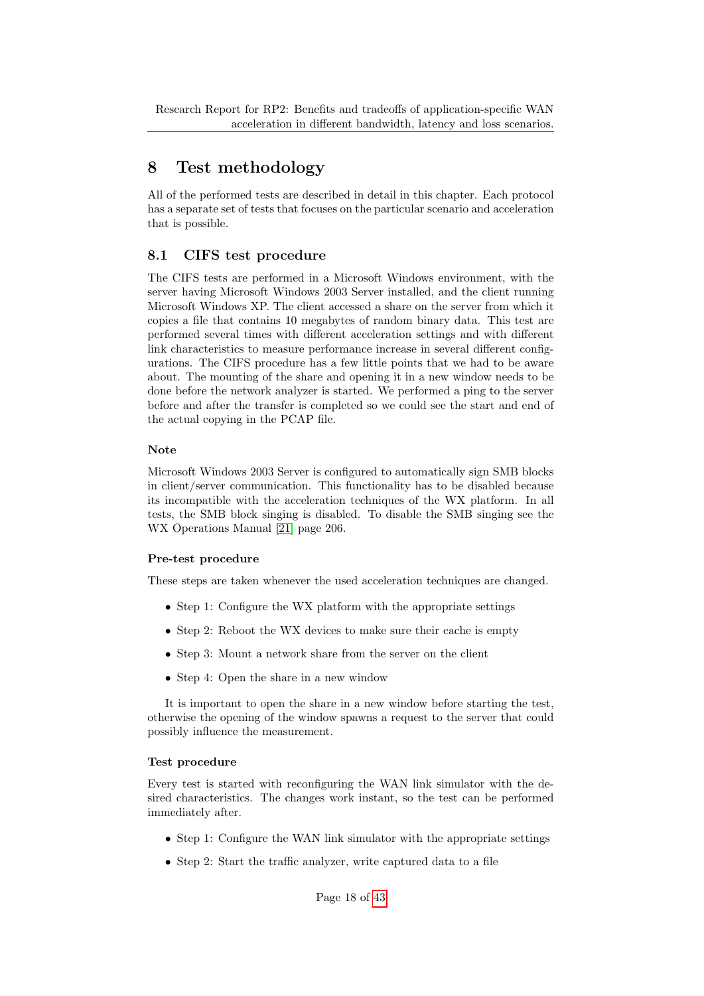Research Report for RP2: Benefits and tradeoffs of application-specific WAN acceleration in different bandwidth, latency and loss scenarios.

# <span id="page-17-0"></span>8 Test methodology

All of the performed tests are described in detail in this chapter. Each protocol has a separate set of tests that focuses on the particular scenario and acceleration that is possible.

## <span id="page-17-1"></span>8.1 CIFS test procedure

The CIFS tests are performed in a Microsoft Windows environment, with the server having Microsoft Windows 2003 Server installed, and the client running Microsoft Windows XP. The client accessed a share on the server from which it copies a file that contains 10 megabytes of random binary data. This test are performed several times with different acceleration settings and with different link characteristics to measure performance increase in several different configurations. The CIFS procedure has a few little points that we had to be aware about. The mounting of the share and opening it in a new window needs to be done before the network analyzer is started. We performed a ping to the server before and after the transfer is completed so we could see the start and end of the actual copying in the PCAP file.

### Note

Microsoft Windows 2003 Server is configured to automatically sign SMB blocks in client/server communication. This functionality has to be disabled because its incompatible with the acceleration techniques of the WX platform. In all tests, the SMB block singing is disabled. To disable the SMB singing see the WX Operations Manual [\[21\]](#page-36-6) page 206.

## Pre-test procedure

These steps are taken whenever the used acceleration techniques are changed.

- Step 1: Configure the WX platform with the appropriate settings
- Step 2: Reboot the WX devices to make sure their cache is empty
- Step 3: Mount a network share from the server on the client
- Step 4: Open the share in a new window

It is important to open the share in a new window before starting the test, otherwise the opening of the window spawns a request to the server that could possibly influence the measurement.

#### Test procedure

Every test is started with reconfiguring the WAN link simulator with the desired characteristics. The changes work instant, so the test can be performed immediately after.

- Step 1: Configure the WAN link simulator with the appropriate settings
- Step 2: Start the traffic analyzer, write captured data to a file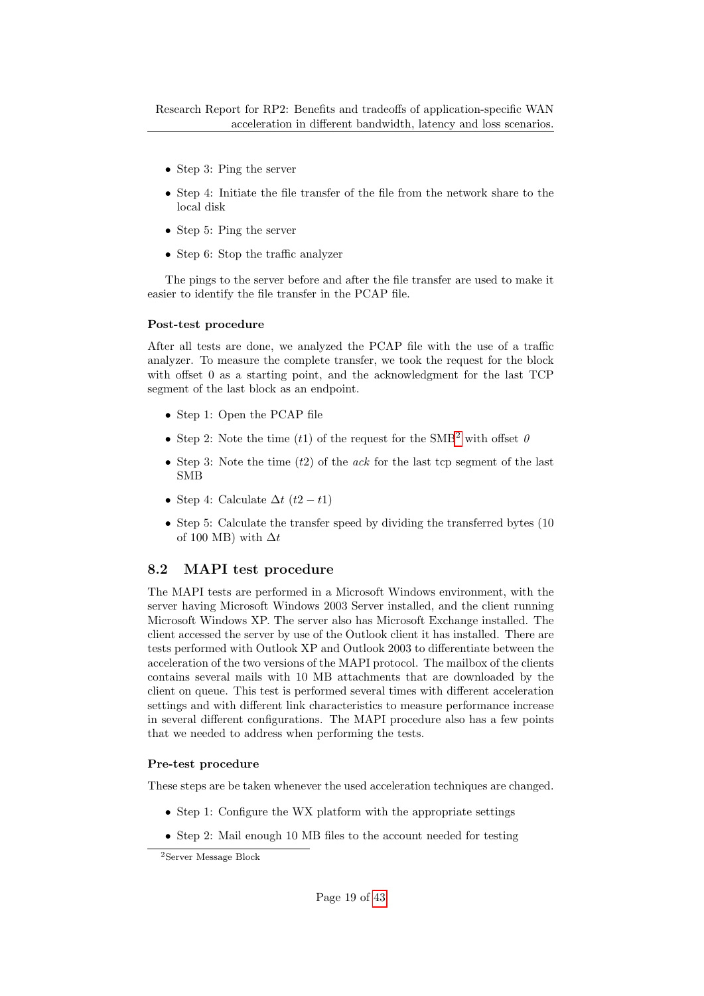- Step 3: Ping the server
- Step 4: Initiate the file transfer of the file from the network share to the local disk
- Step 5: Ping the server
- Step 6: Stop the traffic analyzer

The pings to the server before and after the file transfer are used to make it easier to identify the file transfer in the PCAP file.

#### Post-test procedure

After all tests are done, we analyzed the PCAP file with the use of a traffic analyzer. To measure the complete transfer, we took the request for the block with offset 0 as a starting point, and the acknowledgment for the last TCP segment of the last block as an endpoint.

- Step 1: Open the PCAP file
- Step [2](#page-18-1): Note the time (t1) of the request for the SMB<sup>2</sup> with offset  $\theta$
- Step 3: Note the time  $(t2)$  of the *ack* for the last tcp segment of the last SMB
- Step 4: Calculate  $\Delta t$  (t2 t1)
- Step 5: Calculate the transfer speed by dividing the transferred bytes (10) of 100 MB) with  $\Delta t$

## <span id="page-18-0"></span>8.2 MAPI test procedure

The MAPI tests are performed in a Microsoft Windows environment, with the server having Microsoft Windows 2003 Server installed, and the client running Microsoft Windows XP. The server also has Microsoft Exchange installed. The client accessed the server by use of the Outlook client it has installed. There are tests performed with Outlook XP and Outlook 2003 to differentiate between the acceleration of the two versions of the MAPI protocol. The mailbox of the clients contains several mails with 10 MB attachments that are downloaded by the client on queue. This test is performed several times with different acceleration settings and with different link characteristics to measure performance increase in several different configurations. The MAPI procedure also has a few points that we needed to address when performing the tests.

#### Pre-test procedure

These steps are be taken whenever the used acceleration techniques are changed.

- Step 1: Configure the WX platform with the appropriate settings
- Step 2: Mail enough 10 MB files to the account needed for testing

<span id="page-18-1"></span><sup>2</sup>Server Message Block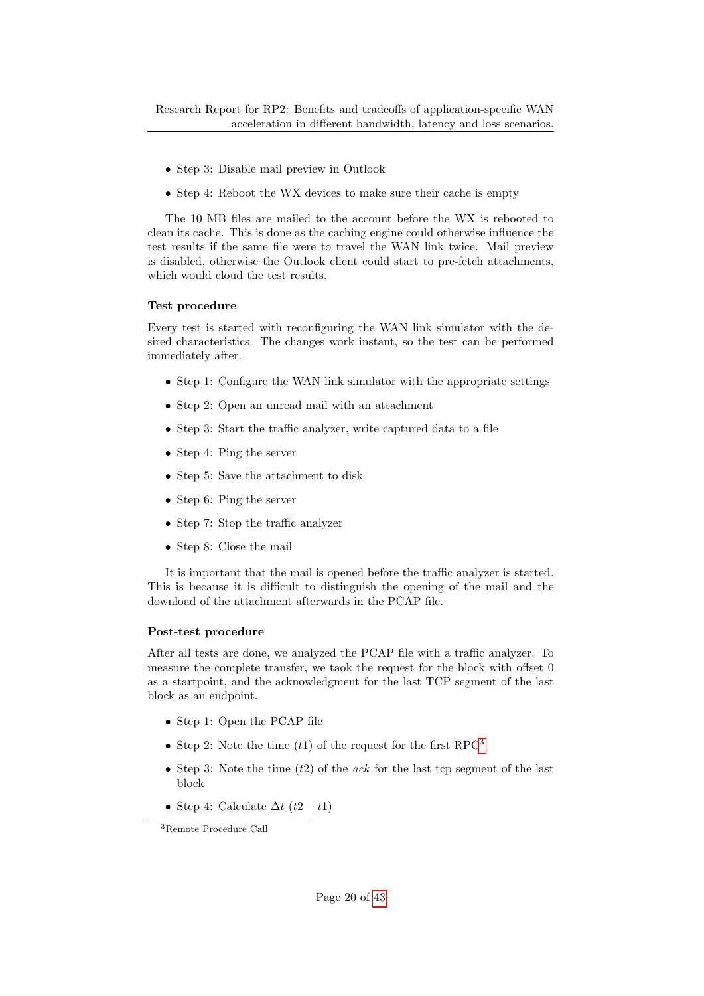- Step 3: Disable mail preview in Outlook
- Step 4: Reboot the WX devices to make sure their cache is empty

The 10 MB files are mailed to the account before the WX is rebooted to clean its cache. This is done as the caching engine could otherwise influence the test results if the same file were to travel the WAN link twice. Mail preview is disabled, otherwise the Outlook client could start to pre-fetch attachments, which would cloud the test results.

#### Test procedure

Every test is started with reconfiguring the WAN link simulator with the desired characteristics. The changes work instant, so the test can be performed immediately after.

- Step 1: Configure the WAN link simulator with the appropriate settings
- Step 2: Open an unread mail with an attachment
- Step 3: Start the traffic analyzer, write captured data to a file
- Step 4: Ping the server
- Step 5: Save the attachment to disk
- Step 6: Ping the server
- Step 7: Stop the traffic analyzer
- Step 8: Close the mail

It is important that the mail is opened before the traffic analyzer is started. This is because it is difficult to distinguish the opening of the mail and the download of the attachment afterwards in the PCAP file.

#### Post-test procedure

After all tests are done, we analyzed the PCAP file with a traffic analyzer. To measure the complete transfer, we taok the request for the block with offset 0 as a startpoint, and the acknowledgment for the last TCP segment of the last block as an endpoint.

- Step 1: Open the PCAP file
- Step 2: Note the time  $(t1)$  of the request for the first RPC<sup>[3](#page-19-0)</sup>
- Step 3: Note the time  $(t2)$  of the *ack* for the last tcp segment of the last block
- Step 4: Calculate  $\Delta t$  (t2 t1)

<span id="page-19-0"></span><sup>3</sup>Remote Procedure Call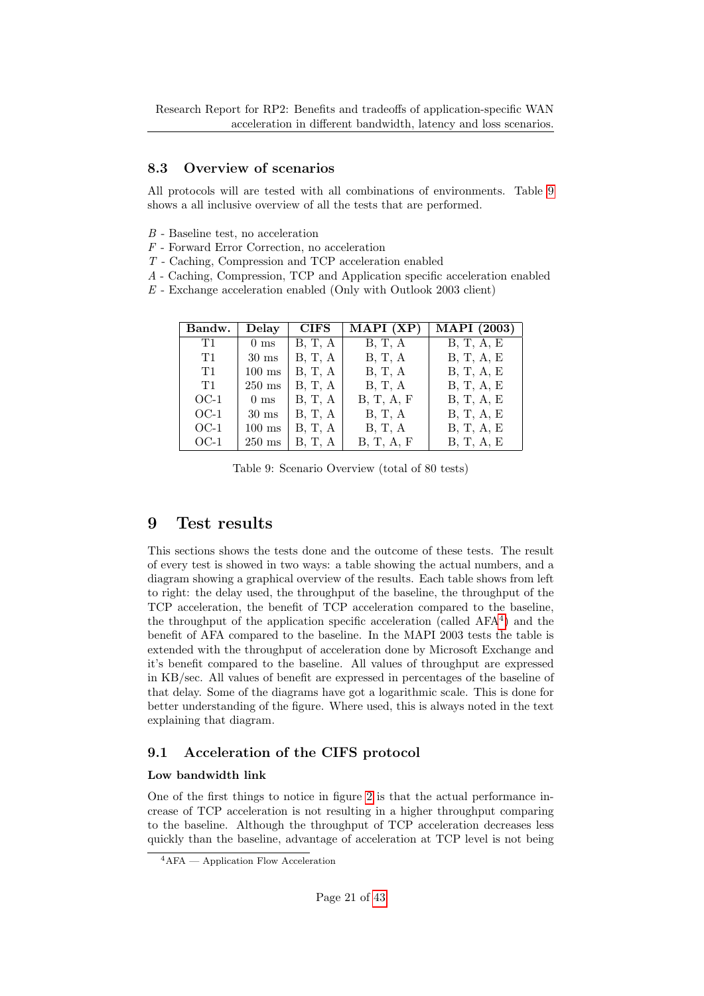## <span id="page-20-0"></span>8.3 Overview of scenarios

All protocols will are tested with all combinations of environments. Table [9](#page-20-3) shows a all inclusive overview of all the tests that are performed.

- B Baseline test, no acceleration
- F Forward Error Correction, no acceleration
- T Caching, Compression and TCP acceleration enabled
- A Caching, Compression, TCP and Application specific acceleration enabled
- $E$  Exchange acceleration enabled (Only with Outlook 2003 client)

| Bandw. | Delay            | <b>CIFS</b> | MAPI (XP)  | $\overline{\text{MAPI}}$ (2003) |
|--------|------------------|-------------|------------|---------------------------------|
| T1     | 0 <sub>ms</sub>  | B, T, A     | B, T, A    | B, T, A, E                      |
| T1     | $30 \text{ ms}$  | B, T, A     | B, T, A    | B, T, A, E                      |
| T1     | $100$ ms         | B, T, A     | B, T, A    | B, T, A, E                      |
| T1     | $250 \text{ ms}$ | B, T, A     | B, T, A    | B, T, A, E                      |
| $OC-1$ | 0 <sub>ms</sub>  | B, T, A     | B, T, A, F | B, T, A, E                      |
| $OC-1$ | $30 \text{ ms}$  | B, T, A     | B, T, A    | B, T, A, E                      |
| $OC-1$ | $100$ ms         | B, T, A     | B, T, A    | B, T, A, E                      |
| $OC-1$ | $250 \text{ ms}$ | B, T, A     | B, T, A, F | B, T, A, E                      |

<span id="page-20-3"></span>Table 9: Scenario Overview (total of 80 tests)

## <span id="page-20-1"></span>9 Test results

This sections shows the tests done and the outcome of these tests. The result of every test is showed in two ways: a table showing the actual numbers, and a diagram showing a graphical overview of the results. Each table shows from left to right: the delay used, the throughput of the baseline, the throughput of the TCP acceleration, the benefit of TCP acceleration compared to the baseline, the throughput of the application specific acceleration (called AFA[4](#page-20-4) ) and the benefit of AFA compared to the baseline. In the MAPI 2003 tests the table is extended with the throughput of acceleration done by Microsoft Exchange and it's benefit compared to the baseline. All values of throughput are expressed in KB/sec. All values of benefit are expressed in percentages of the baseline of that delay. Some of the diagrams have got a logarithmic scale. This is done for better understanding of the figure. Where used, this is always noted in the text explaining that diagram.

## <span id="page-20-2"></span>9.1 Acceleration of the CIFS protocol

#### Low bandwidth link

One of the first things to notice in figure [2](#page-21-0) is that the actual performance increase of TCP acceleration is not resulting in a higher throughput comparing to the baseline. Although the throughput of TCP acceleration decreases less quickly than the baseline, advantage of acceleration at TCP level is not being

<span id="page-20-4"></span><sup>4</sup>AFA — Application Flow Acceleration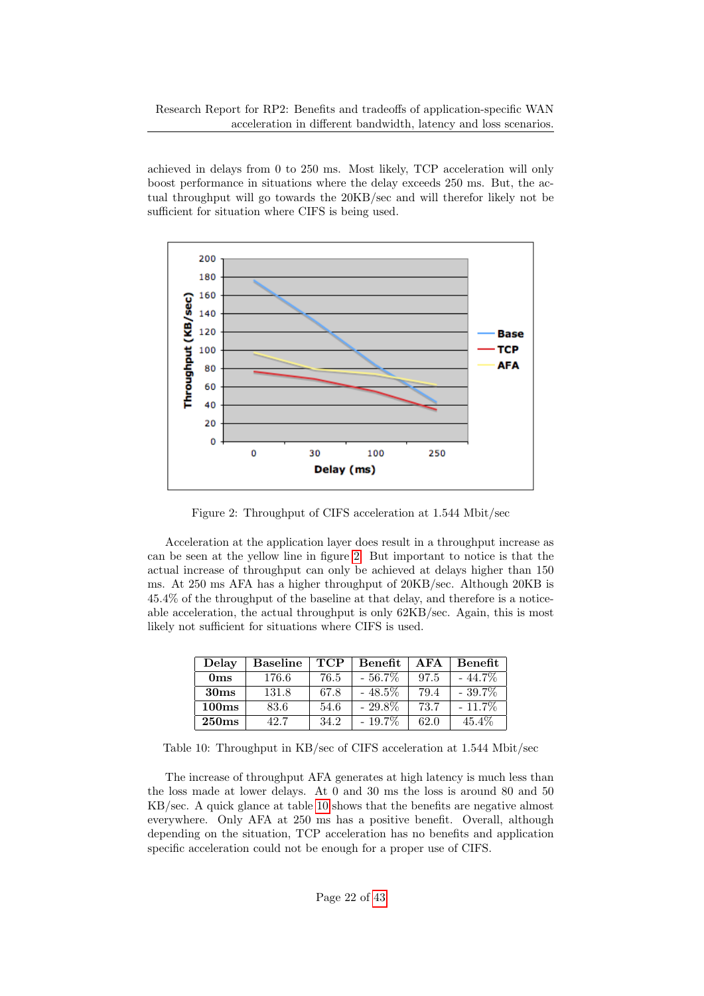achieved in delays from 0 to 250 ms. Most likely, TCP acceleration will only boost performance in situations where the delay exceeds 250 ms. But, the actual throughput will go towards the 20KB/sec and will therefor likely not be sufficient for situation where CIFS is being used.



<span id="page-21-0"></span>Figure 2: Throughput of CIFS acceleration at 1.544 Mbit/sec

Acceleration at the application layer does result in a throughput increase as can be seen at the yellow line in figure [2.](#page-21-0) But important to notice is that the actual increase of throughput can only be achieved at delays higher than 150 ms. At 250 ms AFA has a higher throughput of 20KB/sec. Although 20KB is 45.4% of the throughput of the baseline at that delay, and therefore is a noticeable acceleration, the actual throughput is only 62KB/sec. Again, this is most likely not sufficient for situations where CIFS is used.

| Delay            | <b>Baseline</b> | <b>TCP</b> | Benefit   | A FA | <b>Benefit</b> |
|------------------|-----------------|------------|-----------|------|----------------|
| 0 <sub>ms</sub>  | 176.6           | 76.5       | $-56.7\%$ | 97.5 | $-44.7\%$      |
| 30 <sub>ms</sub> | 131.8           | 67.8       | $-48.5\%$ | 79.4 | $-39.7\%$      |
| 100ms            | 83.6            | 54.6       | $-29.8\%$ | 73.7 | $-11.7\%$      |
| 250ms            | 42.7            | 34.2       | $-19.7\%$ | 62.0 | $45.4\%$       |

<span id="page-21-1"></span>Table 10: Throughput in KB/sec of CIFS acceleration at 1.544 Mbit/sec

The increase of throughput AFA generates at high latency is much less than the loss made at lower delays. At 0 and 30 ms the loss is around 80 and 50 KB/sec. A quick glance at table [10](#page-21-1) shows that the benefits are negative almost everywhere. Only AFA at 250 ms has a positive benefit. Overall, although depending on the situation, TCP acceleration has no benefits and application specific acceleration could not be enough for a proper use of CIFS.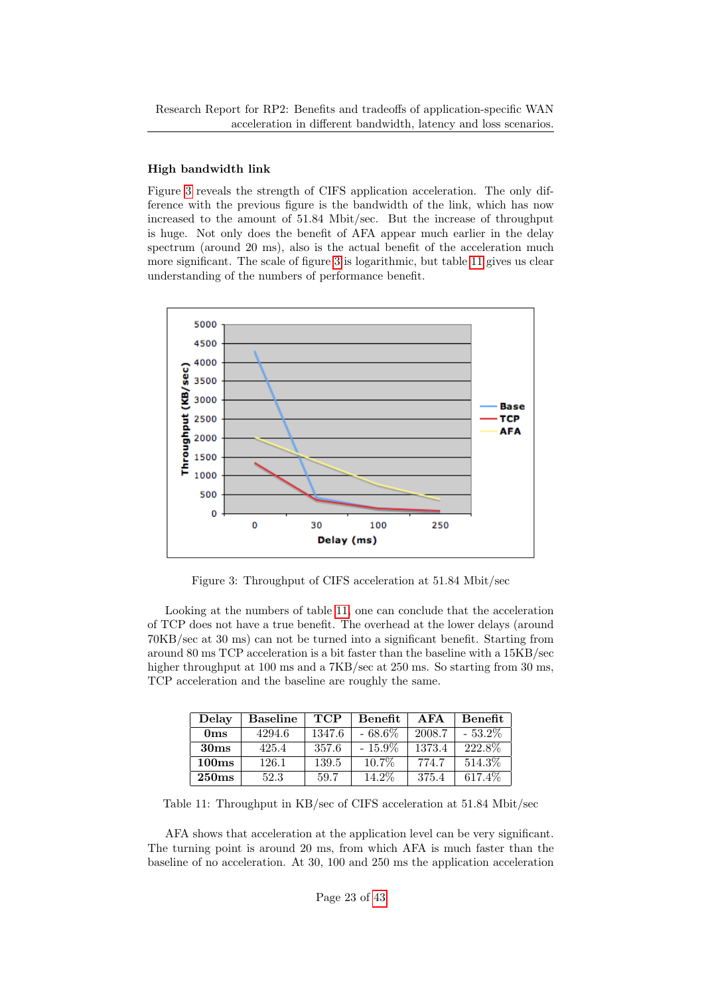#### High bandwidth link

Figure [3](#page-22-0) reveals the strength of CIFS application acceleration. The only difference with the previous figure is the bandwidth of the link, which has now increased to the amount of 51.84 Mbit/sec. But the increase of throughput is huge. Not only does the benefit of AFA appear much earlier in the delay spectrum (around 20 ms), also is the actual benefit of the acceleration much more significant. The scale of figure [3](#page-22-0) is logarithmic, but table [11](#page-22-1) gives us clear understanding of the numbers of performance benefit.



<span id="page-22-0"></span>Figure 3: Throughput of CIFS acceleration at 51.84 Mbit/sec

Looking at the numbers of table [11,](#page-22-1) one can conclude that the acceleration of TCP does not have a true benefit. The overhead at the lower delays (around 70KB/sec at 30 ms) can not be turned into a significant benefit. Starting from around 80 ms TCP acceleration is a bit faster than the baseline with a 15KB/sec higher throughput at 100 ms and a 7KB/sec at 250 ms. So starting from 30 ms, TCP acceleration and the baseline are roughly the same.

| Delay            | <b>Baseline</b> | <b>TCP</b> | Benefit   | A FA   | <b>Benefit</b> |
|------------------|-----------------|------------|-----------|--------|----------------|
| 0 <sub>ms</sub>  | 4294.6          | 1347.6     | $-68.6\%$ | 2008.7 | $-53.2\%$      |
| 30 <sub>ms</sub> | 425.4           | 357.6      | $-15.9\%$ | 1373.4 | 222.8%         |
| 100ms            | 126.1           | 139.5      | $10.7\%$  | 774.7  | 514.3\%        |
| 250ms            | 52.3            | 59.7       | 14.2%     | 375.4  | 617.4\%        |

<span id="page-22-1"></span>Table 11: Throughput in KB/sec of CIFS acceleration at 51.84 Mbit/sec

AFA shows that acceleration at the application level can be very significant. The turning point is around 20 ms, from which AFA is much faster than the baseline of no acceleration. At 30, 100 and 250 ms the application acceleration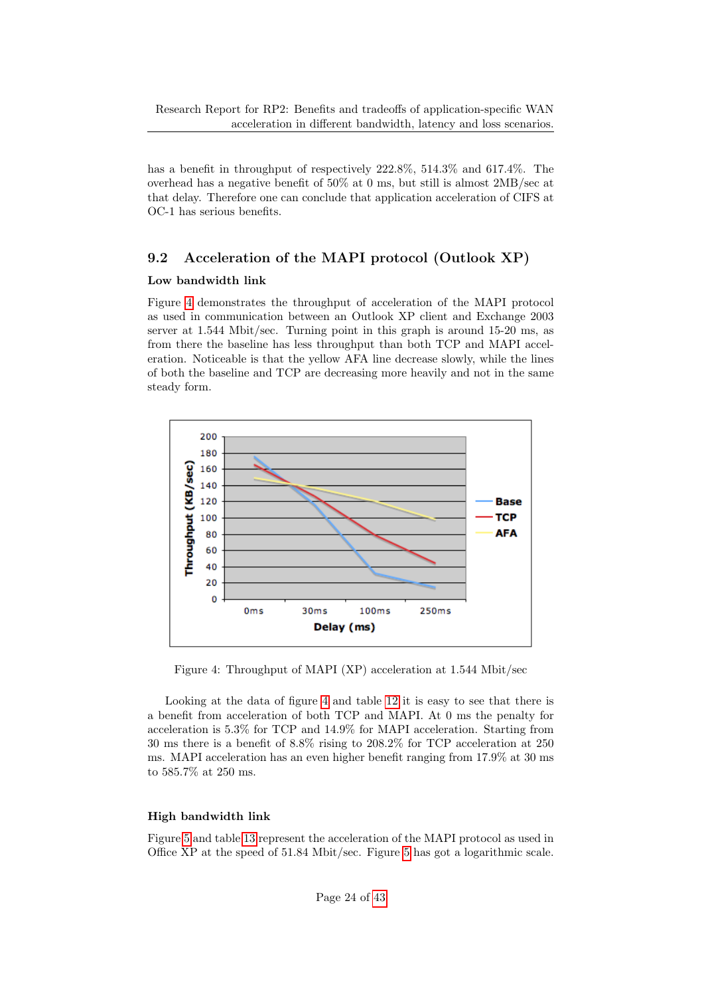has a benefit in throughput of respectively 222.8%, 514.3% and 617.4%. The overhead has a negative benefit of 50% at 0 ms, but still is almost 2MB/sec at that delay. Therefore one can conclude that application acceleration of CIFS at OC-1 has serious benefits.

## <span id="page-23-0"></span>9.2 Acceleration of the MAPI protocol (Outlook XP)

### Low bandwidth link

Figure [4](#page-23-1) demonstrates the throughput of acceleration of the MAPI protocol as used in communication between an Outlook XP client and Exchange 2003 server at 1.544 Mbit/sec. Turning point in this graph is around 15-20 ms, as from there the baseline has less throughput than both TCP and MAPI acceleration. Noticeable is that the yellow AFA line decrease slowly, while the lines of both the baseline and TCP are decreasing more heavily and not in the same steady form.



<span id="page-23-1"></span>Figure 4: Throughput of MAPI (XP) acceleration at 1.544 Mbit/sec

Looking at the data of figure [4](#page-23-1) and table [12](#page-24-0) it is easy to see that there is a benefit from acceleration of both TCP and MAPI. At 0 ms the penalty for acceleration is 5.3% for TCP and 14.9% for MAPI acceleration. Starting from 30 ms there is a benefit of 8.8% rising to 208.2% for TCP acceleration at 250 ms. MAPI acceleration has an even higher benefit ranging from 17.9% at 30 ms to 585.7% at 250 ms.

## High bandwidth link

Figure [5](#page-24-1) and table [13](#page-24-2) represent the acceleration of the MAPI protocol as used in Office XP at the speed of 51.84 Mbit/sec. Figure [5](#page-24-1) has got a logarithmic scale.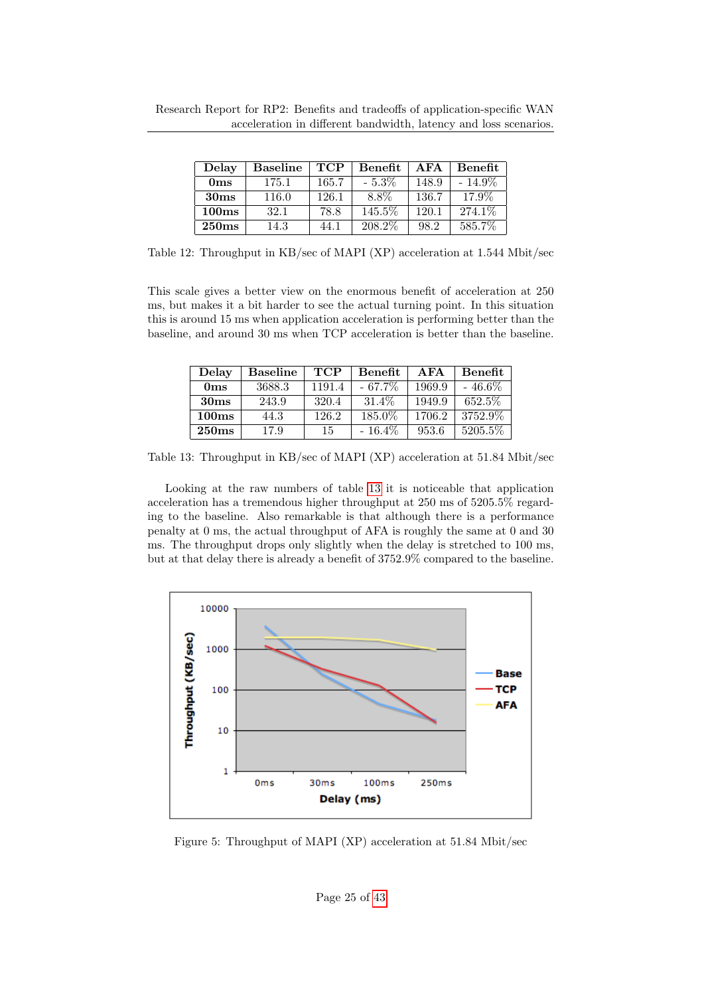| Delay            | <b>Baseline</b> | <b>TCP</b> | <b>Benefit</b> | A FA  | <b>Benefit</b> |
|------------------|-----------------|------------|----------------|-------|----------------|
| 0 <sub>ms</sub>  | 175.1           | 165.7      | $-5.3\%$       | 148.9 | $-14.9\%$      |
| 30 <sub>ms</sub> | 116.0           | 126.1      | 8.8%           | 136.7 | 17.9%          |
| 100ms            | 32.1            | 78.8       | 145.5%         | 120.1 | 274.1\%        |
| 250ms            | 14.3            | 44.1       | 208.2\%        | 98.2  | 585.7%         |

<span id="page-24-0"></span>Table 12: Throughput in KB/sec of MAPI (XP) acceleration at 1.544 Mbit/sec

This scale gives a better view on the enormous benefit of acceleration at 250 ms, but makes it a bit harder to see the actual turning point. In this situation this is around 15 ms when application acceleration is performing better than the baseline, and around 30 ms when TCP acceleration is better than the baseline.

| Delay            | <b>Baseline</b> | <b>TCP</b> | Benefit   | A FA   | Benefit   |
|------------------|-----------------|------------|-----------|--------|-----------|
| 0ms              | 3688.3          | 1191.4     | $-67.7\%$ | 1969.9 | $-46.6\%$ |
| 30 <sub>ms</sub> | 243.9           | 320.4      | 31.4\%    | 1949.9 | 652.5%    |
| 100ms            | 44.3            | 126.2      | 185.0%    | 1706.2 | 3752.9%   |
| <b>250ms</b>     | 17.9            | 15         | $-16.4\%$ | 953.6  | 5205.5%   |

<span id="page-24-2"></span>Table 13: Throughput in KB/sec of MAPI (XP) acceleration at 51.84 Mbit/sec

Looking at the raw numbers of table [13](#page-24-2) it is noticeable that application acceleration has a tremendous higher throughput at 250 ms of 5205.5% regarding to the baseline. Also remarkable is that although there is a performance penalty at 0 ms, the actual throughput of AFA is roughly the same at 0 and 30 ms. The throughput drops only slightly when the delay is stretched to 100 ms, but at that delay there is already a benefit of 3752.9% compared to the baseline.



<span id="page-24-1"></span>Figure 5: Throughput of MAPI (XP) acceleration at 51.84 Mbit/sec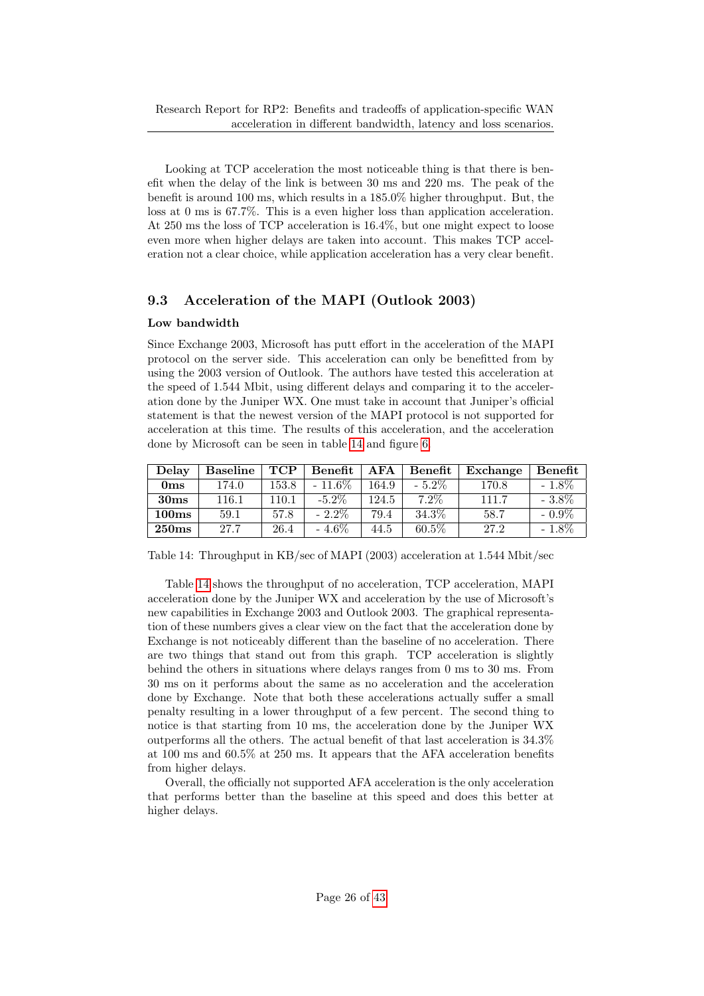Looking at TCP acceleration the most noticeable thing is that there is benefit when the delay of the link is between 30 ms and 220 ms. The peak of the benefit is around 100 ms, which results in a 185.0% higher throughput. But, the loss at 0 ms is 67.7%. This is a even higher loss than application acceleration. At 250 ms the loss of TCP acceleration is 16.4%, but one might expect to loose even more when higher delays are taken into account. This makes TCP acceleration not a clear choice, while application acceleration has a very clear benefit.

## <span id="page-25-0"></span>9.3 Acceleration of the MAPI (Outlook 2003)

#### Low bandwidth

Since Exchange 2003, Microsoft has putt effort in the acceleration of the MAPI protocol on the server side. This acceleration can only be benefitted from by using the 2003 version of Outlook. The authors have tested this acceleration at the speed of 1.544 Mbit, using different delays and comparing it to the acceleration done by the Juniper WX. One must take in account that Juniper's official statement is that the newest version of the MAPI protocol is not supported for acceleration at this time. The results of this acceleration, and the acceleration done by Microsoft can be seen in table [14](#page-25-1) and figure [6.](#page-26-0)

| Delay            | <b>Baseline</b> | <b>TCP</b> | Benefit  | A FA  | <b>Benefit</b> | Exchange | Benefit  |
|------------------|-----------------|------------|----------|-------|----------------|----------|----------|
| 0 <sub>ms</sub>  | 174.0           | 153.8      | $-11.6%$ | 164.9 | $-5.2\%$       | 170.8    | $-1.8\%$ |
| 30 <sub>ms</sub> | 116.1           | 110.1      | $-5.2\%$ | 124.5 | $7.2\%$        | 111.7    | $-3.8\%$ |
| 100ms            | 59.1            | 57.8       | $-2.2\%$ | 79.4  | 34.3%          | 58.7     | $-0.9\%$ |
| 250ms            | 27.7            | 26.4       | $-4.6\%$ | 44.5  | $60.5\%$       | 27.2     | $-1.8\%$ |

<span id="page-25-1"></span>Table 14: Throughput in KB/sec of MAPI (2003) acceleration at 1.544 Mbit/sec

Table [14](#page-25-1) shows the throughput of no acceleration, TCP acceleration, MAPI acceleration done by the Juniper WX and acceleration by the use of Microsoft's new capabilities in Exchange 2003 and Outlook 2003. The graphical representation of these numbers gives a clear view on the fact that the acceleration done by Exchange is not noticeably different than the baseline of no acceleration. There are two things that stand out from this graph. TCP acceleration is slightly behind the others in situations where delays ranges from 0 ms to 30 ms. From 30 ms on it performs about the same as no acceleration and the acceleration done by Exchange. Note that both these accelerations actually suffer a small penalty resulting in a lower throughput of a few percent. The second thing to notice is that starting from 10 ms, the acceleration done by the Juniper WX outperforms all the others. The actual benefit of that last acceleration is 34.3% at 100 ms and 60.5% at 250 ms. It appears that the AFA acceleration benefits from higher delays.

Overall, the officially not supported AFA acceleration is the only acceleration that performs better than the baseline at this speed and does this better at higher delays.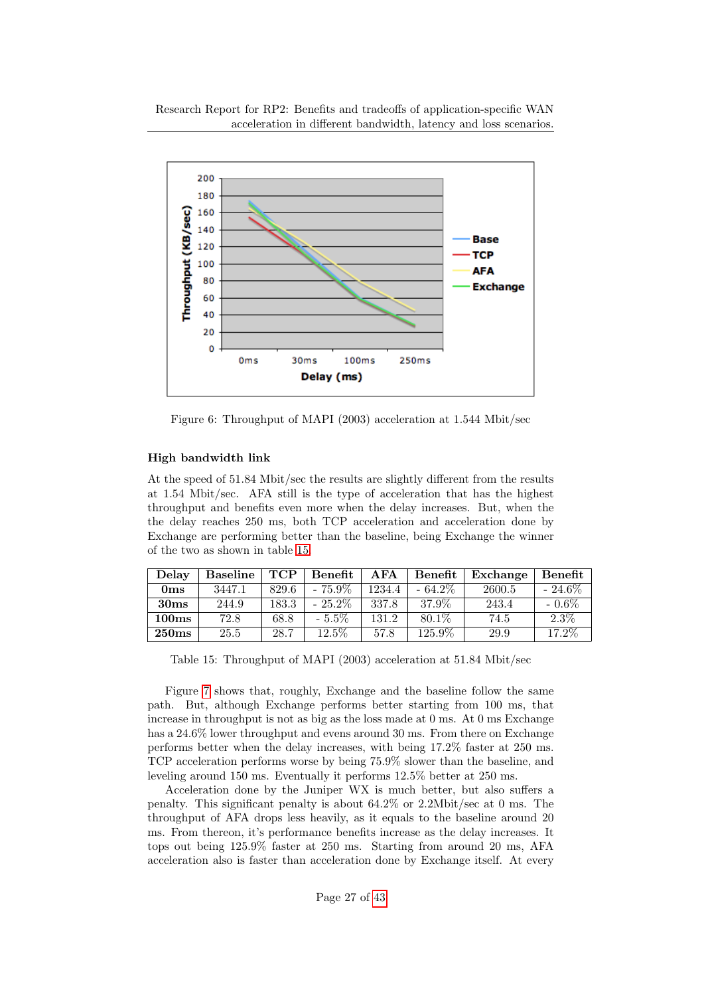

<span id="page-26-0"></span>Figure 6: Throughput of MAPI (2003) acceleration at 1.544 Mbit/sec

## High bandwidth link

At the speed of 51.84 Mbit/sec the results are slightly different from the results at 1.54 Mbit/sec. AFA still is the type of acceleration that has the highest throughput and benefits even more when the delay increases. But, when the the delay reaches 250 ms, both TCP acceleration and acceleration done by Exchange are performing better than the baseline, being Exchange the winner of the two as shown in table [15.](#page-26-1)

| Delay            | <b>Baseline</b> | <b>TCP</b> | Benefit   | <b>AFA</b> | <b>Benefit</b> | Exchange | Benefit   |
|------------------|-----------------|------------|-----------|------------|----------------|----------|-----------|
| 0 <sub>ms</sub>  | 3447.1          | 829.6      | $-75.9\%$ | 1234.4     | $-64.2\%$      | 2600.5   | $-24.6\%$ |
| 30 <sub>ms</sub> | 244.9           | 183.3      | $-25.2\%$ | 337.8      | 37.9%          | 243.4    | $-0.6\%$  |
| $100\mathrm{ms}$ | 72.8            | 68.8       | $-5.5\%$  | 131.2      | 80.1\%         | 74.5     | $2.3\%$   |
| $250\mathrm{ms}$ | 25.5            | 28.7       | $12.5\%$  | 57.8       | 125.9%         | 29.9     | 17.2%     |

<span id="page-26-1"></span>Table 15: Throughput of MAPI (2003) acceleration at 51.84 Mbit/sec

Figure [7](#page-27-1) shows that, roughly, Exchange and the baseline follow the same path. But, although Exchange performs better starting from 100 ms, that increase in throughput is not as big as the loss made at 0 ms. At 0 ms Exchange has a 24.6% lower throughput and evens around 30 ms. From there on Exchange performs better when the delay increases, with being 17.2% faster at 250 ms. TCP acceleration performs worse by being 75.9% slower than the baseline, and leveling around 150 ms. Eventually it performs 12.5% better at 250 ms.

Acceleration done by the Juniper WX is much better, but also suffers a penalty. This significant penalty is about 64.2% or 2.2Mbit/sec at 0 ms. The throughput of AFA drops less heavily, as it equals to the baseline around 20 ms. From thereon, it's performance benefits increase as the delay increases. It tops out being 125.9% faster at 250 ms. Starting from around 20 ms, AFA acceleration also is faster than acceleration done by Exchange itself. At every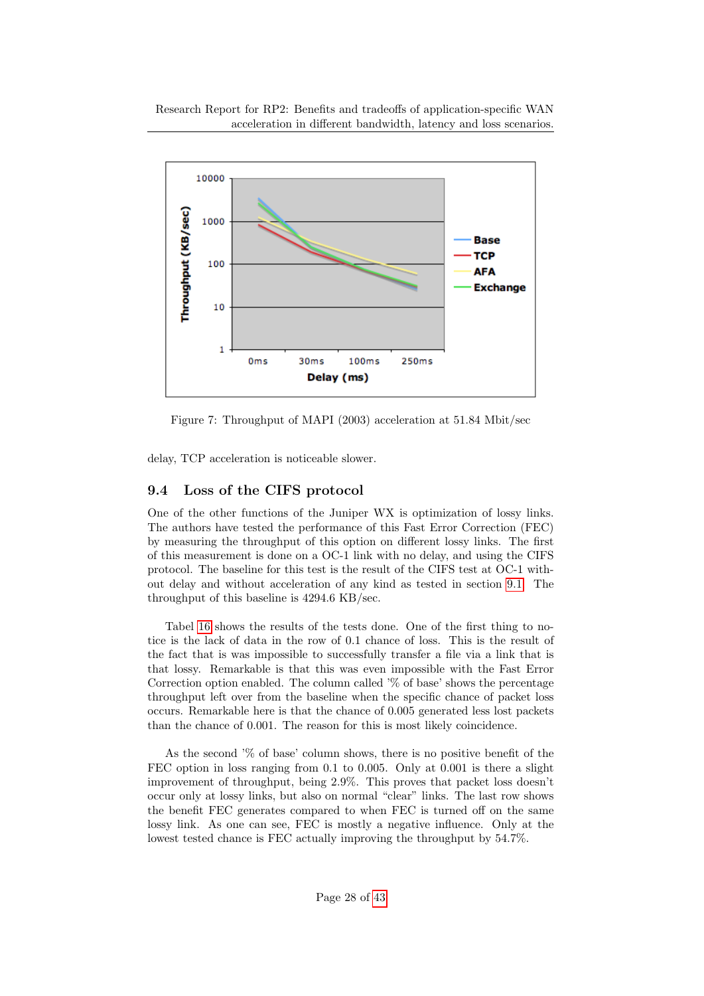

<span id="page-27-1"></span>Figure 7: Throughput of MAPI (2003) acceleration at 51.84 Mbit/sec

delay, TCP acceleration is noticeable slower.

## <span id="page-27-0"></span>9.4 Loss of the CIFS protocol

One of the other functions of the Juniper WX is optimization of lossy links. The authors have tested the performance of this Fast Error Correction (FEC) by measuring the throughput of this option on different lossy links. The first of this measurement is done on a OC-1 link with no delay, and using the CIFS protocol. The baseline for this test is the result of the CIFS test at OC-1 without delay and without acceleration of any kind as tested in section [9.1.](#page-21-1) The throughput of this baseline is 4294.6 KB/sec.

Tabel [16](#page-28-1) shows the results of the tests done. One of the first thing to notice is the lack of data in the row of 0.1 chance of loss. This is the result of the fact that is was impossible to successfully transfer a file via a link that is that lossy. Remarkable is that this was even impossible with the Fast Error Correction option enabled. The column called '% of base' shows the percentage throughput left over from the baseline when the specific chance of packet loss occurs. Remarkable here is that the chance of 0.005 generated less lost packets than the chance of 0.001. The reason for this is most likely coincidence.

As the second '% of base' column shows, there is no positive benefit of the FEC option in loss ranging from 0.1 to 0.005. Only at 0.001 is there a slight improvement of throughput, being 2.9%. This proves that packet loss doesn't occur only at lossy links, but also on normal "clear" links. The last row shows the benefit FEC generates compared to when FEC is turned off on the same lossy link. As one can see, FEC is mostly a negative influence. Only at the lowest tested chance is FEC actually improving the throughput by 54.7%.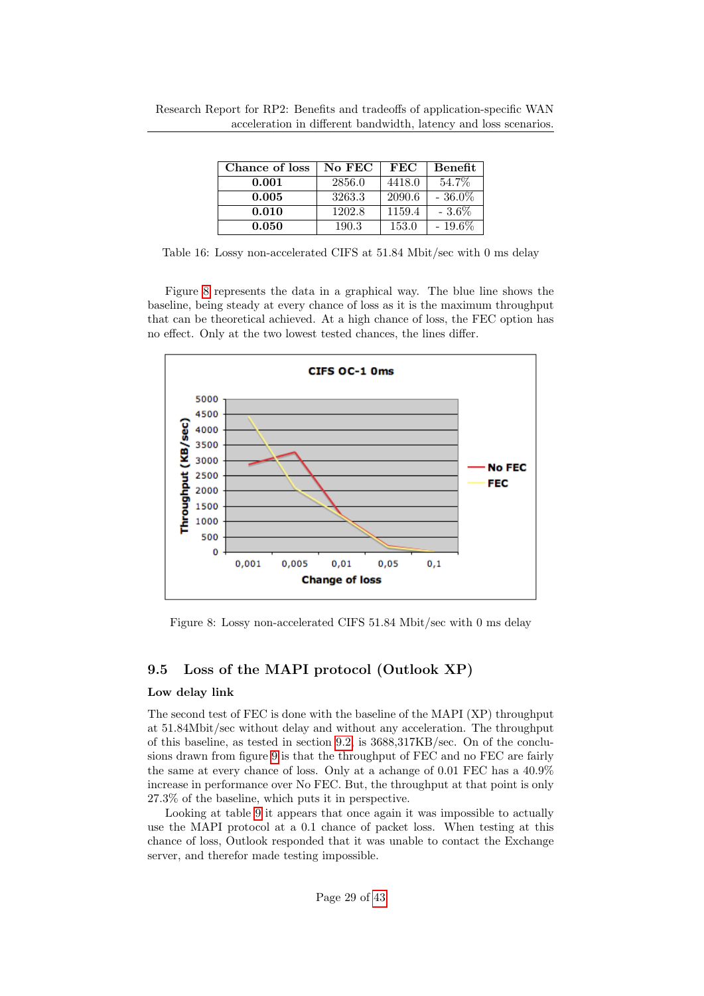| Chance of loss | No FEC | FEC    | Benefit   |
|----------------|--------|--------|-----------|
| 0.001          | 2856.0 | 4418.0 | 54.7%     |
| 0.005          | 3263.3 | 2090.6 | $-36.0\%$ |
| 0.010          | 1202.8 | 1159.4 | $-3.6\%$  |
| 0.050          | 190.3  | 153.0  | $-19.6\%$ |

<span id="page-28-1"></span>Table 16: Lossy non-accelerated CIFS at 51.84 Mbit/sec with 0 ms delay

Figure [8](#page-28-2) represents the data in a graphical way. The blue line shows the baseline, being steady at every chance of loss as it is the maximum throughput that can be theoretical achieved. At a high chance of loss, the FEC option has no effect. Only at the two lowest tested chances, the lines differ.



<span id="page-28-2"></span>Figure 8: Lossy non-accelerated CIFS 51.84 Mbit/sec with 0 ms delay

#### <span id="page-28-0"></span>9.5 Loss of the MAPI protocol (Outlook XP)

#### Low delay link

The second test of FEC is done with the baseline of the MAPI (XP) throughput at 51.84Mbit/sec without delay and without any acceleration. The throughput of this baseline, as tested in section [9.2,](#page-24-0) is 3688,317KB/sec. On of the conclusions drawn from figure [9](#page-29-0) is that the throughput of FEC and no FEC are fairly the same at every chance of loss. Only at a achange of 0.01 FEC has a 40.9% increase in performance over No FEC. But, the throughput at that point is only 27.3% of the baseline, which puts it in perspective.

Looking at table [9](#page-29-0) it appears that once again it was impossible to actually use the MAPI protocol at a 0.1 chance of packet loss. When testing at this chance of loss, Outlook responded that it was unable to contact the Exchange server, and therefor made testing impossible.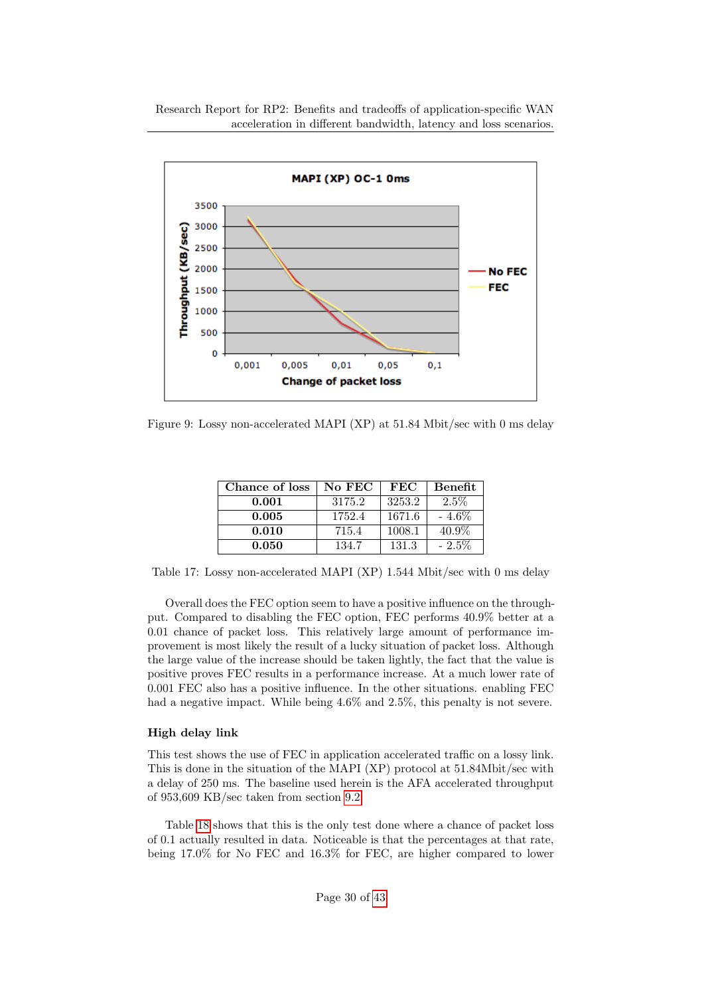

<span id="page-29-0"></span>Figure 9: Lossy non-accelerated MAPI (XP) at  $51.84$  Mbit/sec with 0 ms delay

| Chance of loss | No FEC | FEC    | Benefit  |
|----------------|--------|--------|----------|
| 0.001          | 3175.2 | 3253.2 | $2.5\%$  |
| 0.005          | 1752.4 | 1671.6 | $-4.6\%$ |
| 0.010          | 715.4  | 1008.1 | 40.9%    |
| 0.050          | 134.7  | 131.3  | $-2.5\%$ |

<span id="page-29-1"></span>Table 17: Lossy non-accelerated MAPI (XP) 1.544 Mbit/sec with 0 ms delay

Overall does the FEC option seem to have a positive influence on the throughput. Compared to disabling the FEC option, FEC performs 40.9% better at a 0.01 chance of packet loss. This relatively large amount of performance improvement is most likely the result of a lucky situation of packet loss. Although the large value of the increase should be taken lightly, the fact that the value is positive proves FEC results in a performance increase. At a much lower rate of 0.001 FEC also has a positive influence. In the other situations. enabling FEC had a negative impact. While being  $4.6\%$  and  $2.5\%$ , this penalty is not severe.

## High delay link

This test shows the use of FEC in application accelerated traffic on a lossy link. This is done in the situation of the MAPI (XP) protocol at 51.84Mbit/sec with a delay of 250 ms. The baseline used herein is the AFA accelerated throughput of 953,609 KB/sec taken from section [9.2.](#page-24-0)

Table [18](#page-30-1) shows that this is the only test done where a chance of packet loss of 0.1 actually resulted in data. Noticeable is that the percentages at that rate, being 17.0% for No FEC and 16.3% for FEC, are higher compared to lower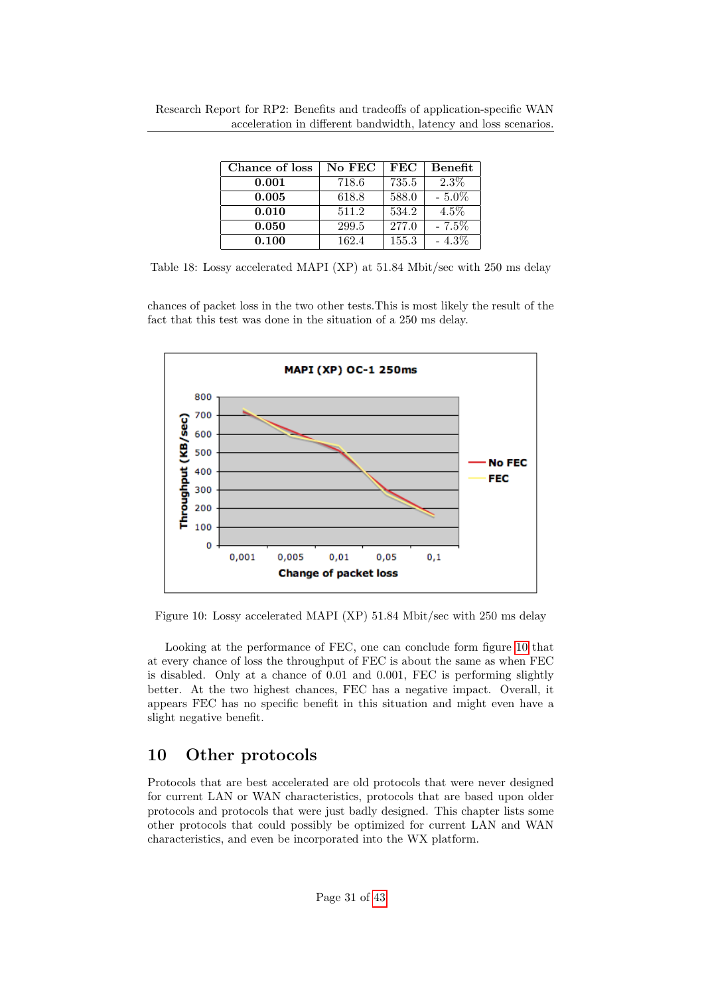| Chance of loss | No FEC | $_{\rm FEC}$ | Benefit  |
|----------------|--------|--------------|----------|
| 0.001          | 718.6  | 735.5        | $2.3\%$  |
| 0.005          | 618.8  | 588.0        | $-5.0\%$ |
| 0.010          | 511.2  | 534.2        | $4.5\%$  |
| 0.050          | 299.5  | 277.0        | $-7.5%$  |
| 0.100          | 162.4  | 155.3        | $-4.3\%$ |

<span id="page-30-1"></span>Table 18: Lossy accelerated MAPI (XP) at 51.84 Mbit/sec with 250 ms delay

chances of packet loss in the two other tests.This is most likely the result of the fact that this test was done in the situation of a 250 ms delay.



<span id="page-30-2"></span>Figure 10: Lossy accelerated MAPI (XP) 51.84 Mbit/sec with 250 ms delay

Looking at the performance of FEC, one can conclude form figure [10](#page-30-2) that at every chance of loss the throughput of FEC is about the same as when FEC is disabled. Only at a chance of 0.01 and 0.001, FEC is performing slightly better. At the two highest chances, FEC has a negative impact. Overall, it appears FEC has no specific benefit in this situation and might even have a slight negative benefit.

# <span id="page-30-0"></span>10 Other protocols

Protocols that are best accelerated are old protocols that were never designed for current LAN or WAN characteristics, protocols that are based upon older protocols and protocols that were just badly designed. This chapter lists some other protocols that could possibly be optimized for current LAN and WAN characteristics, and even be incorporated into the WX platform.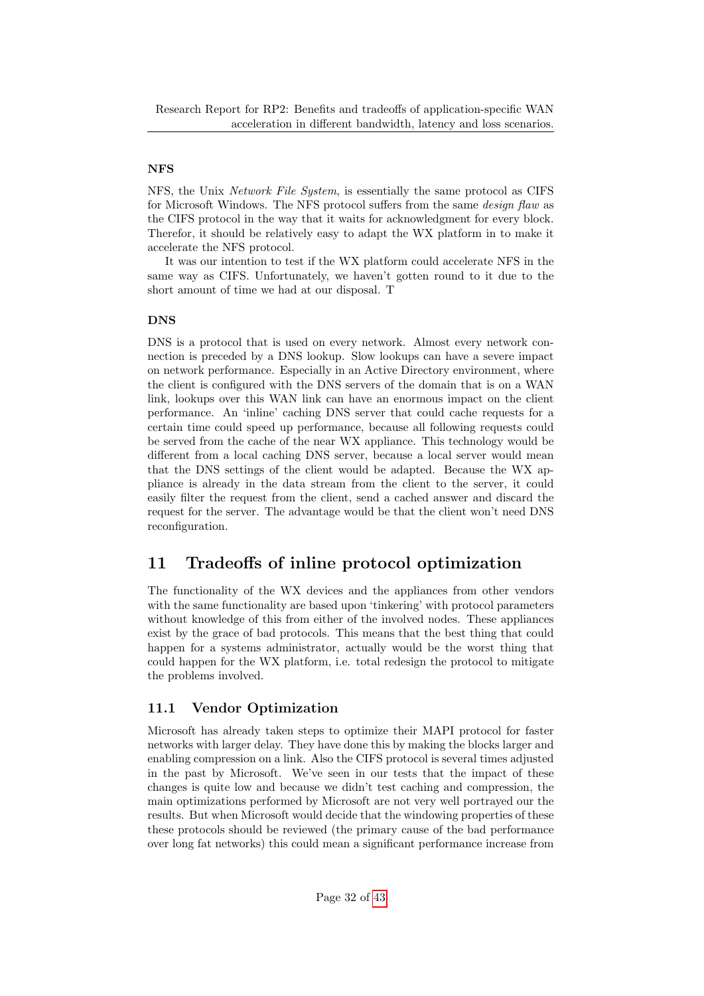#### NFS

NFS, the Unix Network File System, is essentially the same protocol as CIFS for Microsoft Windows. The NFS protocol suffers from the same *design flaw* as the CIFS protocol in the way that it waits for acknowledgment for every block. Therefor, it should be relatively easy to adapt the WX platform in to make it accelerate the NFS protocol.

It was our intention to test if the WX platform could accelerate NFS in the same way as CIFS. Unfortunately, we haven't gotten round to it due to the short amount of time we had at our disposal. T

### DNS

DNS is a protocol that is used on every network. Almost every network connection is preceded by a DNS lookup. Slow lookups can have a severe impact on network performance. Especially in an Active Directory environment, where the client is configured with the DNS servers of the domain that is on a WAN link, lookups over this WAN link can have an enormous impact on the client performance. An 'inline' caching DNS server that could cache requests for a certain time could speed up performance, because all following requests could be served from the cache of the near WX appliance. This technology would be different from a local caching DNS server, because a local server would mean that the DNS settings of the client would be adapted. Because the WX appliance is already in the data stream from the client to the server, it could easily filter the request from the client, send a cached answer and discard the request for the server. The advantage would be that the client won't need DNS reconfiguration.

# <span id="page-31-0"></span>11 Tradeoffs of inline protocol optimization

The functionality of the WX devices and the appliances from other vendors with the same functionality are based upon 'tinkering' with protocol parameters without knowledge of this from either of the involved nodes. These appliances exist by the grace of bad protocols. This means that the best thing that could happen for a systems administrator, actually would be the worst thing that could happen for the WX platform, i.e. total redesign the protocol to mitigate the problems involved.

## <span id="page-31-1"></span>11.1 Vendor Optimization

Microsoft has already taken steps to optimize their MAPI protocol for faster networks with larger delay. They have done this by making the blocks larger and enabling compression on a link. Also the CIFS protocol is several times adjusted in the past by Microsoft. We've seen in our tests that the impact of these changes is quite low and because we didn't test caching and compression, the main optimizations performed by Microsoft are not very well portrayed our the results. But when Microsoft would decide that the windowing properties of these these protocols should be reviewed (the primary cause of the bad performance over long fat networks) this could mean a significant performance increase from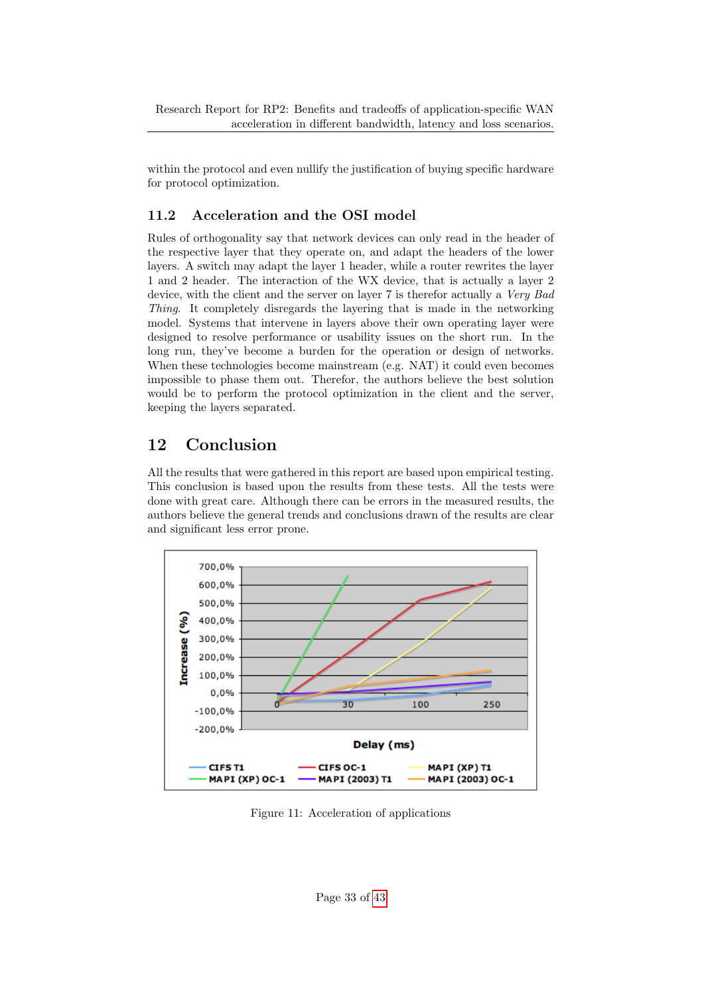within the protocol and even nullify the justification of buying specific hardware for protocol optimization.

## <span id="page-32-0"></span>11.2 Acceleration and the OSI model

Rules of orthogonality say that network devices can only read in the header of the respective layer that they operate on, and adapt the headers of the lower layers. A switch may adapt the layer 1 header, while a router rewrites the layer 1 and 2 header. The interaction of the WX device, that is actually a layer 2 device, with the client and the server on layer 7 is therefor actually a *Very Bad* Thing. It completely disregards the layering that is made in the networking model. Systems that intervene in layers above their own operating layer were designed to resolve performance or usability issues on the short run. In the long run, they've become a burden for the operation or design of networks. When these technologies become mainstream (e.g. NAT) it could even becomes impossible to phase them out. Therefor, the authors believe the best solution would be to perform the protocol optimization in the client and the server, keeping the layers separated.

# <span id="page-32-1"></span>12 Conclusion

All the results that were gathered in this report are based upon empirical testing. This conclusion is based upon the results from these tests. All the tests were done with great care. Although there can be errors in the measured results, the authors believe the general trends and conclusions drawn of the results are clear and significant less error prone.



<span id="page-32-2"></span>Figure 11: Acceleration of applications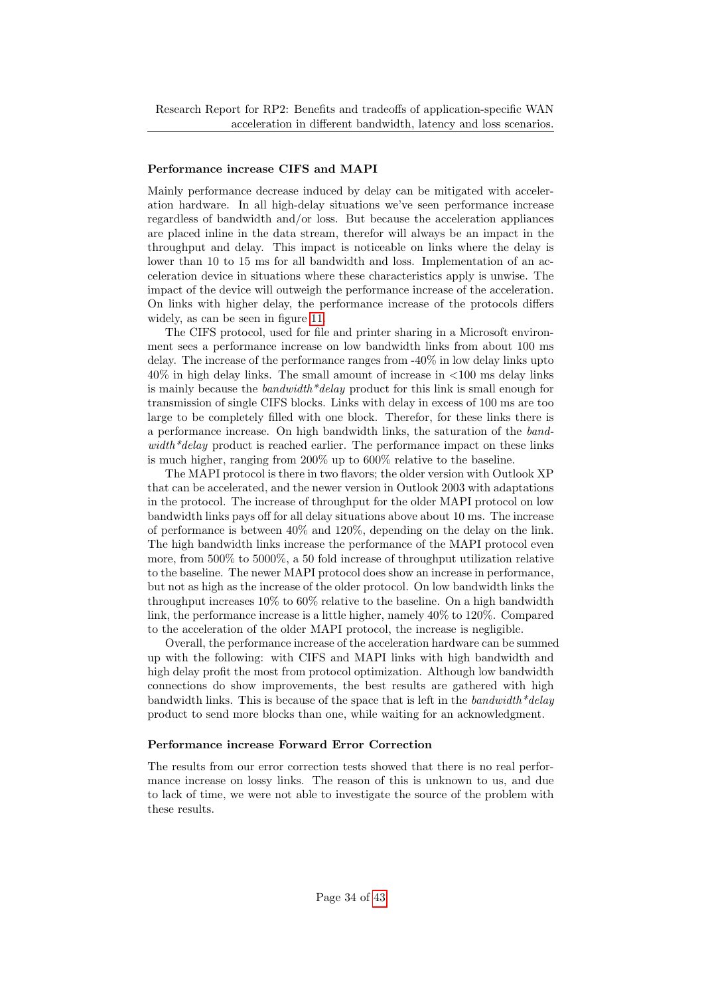#### Performance increase CIFS and MAPI

Mainly performance decrease induced by delay can be mitigated with acceleration hardware. In all high-delay situations we've seen performance increase regardless of bandwidth and/or loss. But because the acceleration appliances are placed inline in the data stream, therefor will always be an impact in the throughput and delay. This impact is noticeable on links where the delay is lower than 10 to 15 ms for all bandwidth and loss. Implementation of an acceleration device in situations where these characteristics apply is unwise. The impact of the device will outweigh the performance increase of the acceleration. On links with higher delay, the performance increase of the protocols differs widely, as can be seen in figure [11.](#page-32-2)

The CIFS protocol, used for file and printer sharing in a Microsoft environment sees a performance increase on low bandwidth links from about 100 ms delay. The increase of the performance ranges from -40% in low delay links upto 40% in high delay links. The small amount of increase in <100 ms delay links is mainly because the bandwidth\*delay product for this link is small enough for transmission of single CIFS blocks. Links with delay in excess of 100 ms are too large to be completely filled with one block. Therefor, for these links there is a performance increase. On high bandwidth links, the saturation of the band $width*delay$  product is reached earlier. The performance impact on these links is much higher, ranging from 200% up to 600% relative to the baseline.

The MAPI protocol is there in two flavors; the older version with Outlook XP that can be accelerated, and the newer version in Outlook 2003 with adaptations in the protocol. The increase of throughput for the older MAPI protocol on low bandwidth links pays off for all delay situations above about 10 ms. The increase of performance is between 40% and 120%, depending on the delay on the link. The high bandwidth links increase the performance of the MAPI protocol even more, from 500% to 5000%, a 50 fold increase of throughput utilization relative to the baseline. The newer MAPI protocol does show an increase in performance, but not as high as the increase of the older protocol. On low bandwidth links the throughput increases 10% to 60% relative to the baseline. On a high bandwidth link, the performance increase is a little higher, namely 40% to 120%. Compared to the acceleration of the older MAPI protocol, the increase is negligible.

Overall, the performance increase of the acceleration hardware can be summed up with the following: with CIFS and MAPI links with high bandwidth and high delay profit the most from protocol optimization. Although low bandwidth connections do show improvements, the best results are gathered with high bandwidth links. This is because of the space that is left in the bandwidth  $*delay$ product to send more blocks than one, while waiting for an acknowledgment.

#### Performance increase Forward Error Correction

The results from our error correction tests showed that there is no real performance increase on lossy links. The reason of this is unknown to us, and due to lack of time, we were not able to investigate the source of the problem with these results.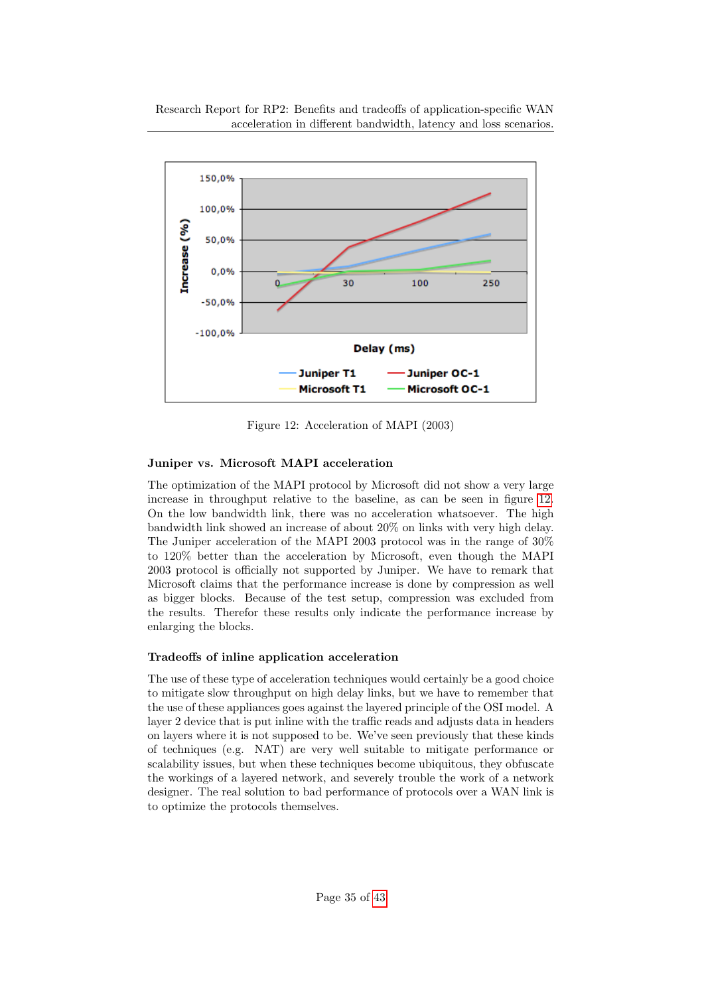

<span id="page-34-0"></span>Figure 12: Acceleration of MAPI (2003)

## Juniper vs. Microsoft MAPI acceleration

The optimization of the MAPI protocol by Microsoft did not show a very large increase in throughput relative to the baseline, as can be seen in figure [12.](#page-34-0) On the low bandwidth link, there was no acceleration whatsoever. The high bandwidth link showed an increase of about 20% on links with very high delay. The Juniper acceleration of the MAPI 2003 protocol was in the range of 30% to 120% better than the acceleration by Microsoft, even though the MAPI 2003 protocol is officially not supported by Juniper. We have to remark that Microsoft claims that the performance increase is done by compression as well as bigger blocks. Because of the test setup, compression was excluded from the results. Therefor these results only indicate the performance increase by enlarging the blocks.

## Tradeoffs of inline application acceleration

The use of these type of acceleration techniques would certainly be a good choice to mitigate slow throughput on high delay links, but we have to remember that the use of these appliances goes against the layered principle of the OSI model. A layer 2 device that is put inline with the traffic reads and adjusts data in headers on layers where it is not supposed to be. We've seen previously that these kinds of techniques (e.g. NAT) are very well suitable to mitigate performance or scalability issues, but when these techniques become ubiquitous, they obfuscate the workings of a layered network, and severely trouble the work of a network designer. The real solution to bad performance of protocols over a WAN link is to optimize the protocols themselves.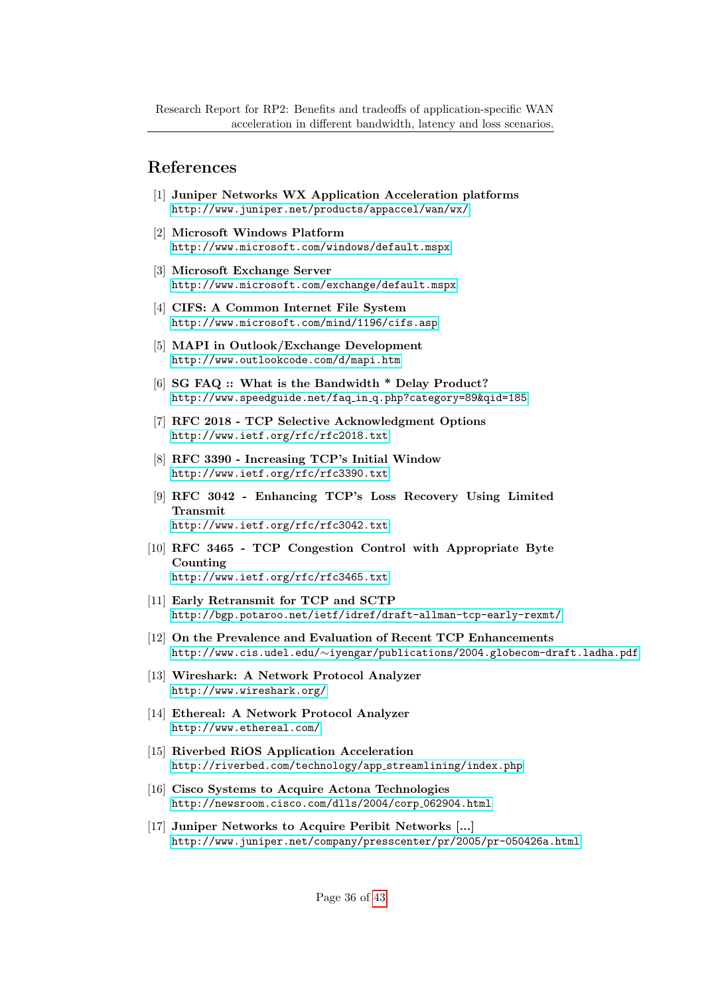## References

- <span id="page-35-9"></span>[1] Juniper Networks WX Application Acceleration platforms <http://www.juniper.net/products/appaccel/wan/wx/>
- <span id="page-35-10"></span>[2] Microsoft Windows Platform <http://www.microsoft.com/windows/default.mspx>
- <span id="page-35-11"></span>[3] Microsoft Exchange Server <http://www.microsoft.com/exchange/default.mspx>
- <span id="page-35-12"></span>[4] CIFS: A Common Internet File System <http://www.microsoft.com/mind/1196/cifs.asp>
- <span id="page-35-13"></span>[5] MAPI in Outlook/Exchange Development <http://www.outlookcode.com/d/mapi.htm>
- <span id="page-35-0"></span>[6] SG FAQ :: What is the Bandwidth \* Delay Product? [http://www.speedguide.net/faq](http://www.speedguide.net/faq_in_q.php?category=89&qid=185) in q.php?category=89&qid=185
- <span id="page-35-1"></span>[7] RFC 2018 - TCP Selective Acknowledgment Options <http://www.ietf.org/rfc/rfc2018.txt>
- <span id="page-35-2"></span>[8] RFC 3390 - Increasing TCP's Initial Window <http://www.ietf.org/rfc/rfc3390.txt>
- <span id="page-35-3"></span>[9] RFC 3042 - Enhancing TCP's Loss Recovery Using Limited Transmit [http://www.ietf.org/rfc/rfc3042.txt](http://www.ietf.org/rfc/rfc3041.txt)
- <span id="page-35-4"></span>[10] RFC 3465 - TCP Congestion Control with Appropriate Byte Counting <http://www.ietf.org/rfc/rfc3465.txt>
- <span id="page-35-5"></span>[11] Early Retransmit for TCP and SCTP <http://bgp.potaroo.net/ietf/idref/draft-allman-tcp-early-rexmt/>
- <span id="page-35-6"></span>[12] On the Prevalence and Evaluation of Recent TCP Enhancements http://www.cis.udel.edu/∼[iyengar/publications/2004.globecom-draft.ladha.pdf](http://www.cis.udel.edu/~iyengar/publications/2004.globecom-draft.ladha.pdf)
- <span id="page-35-15"></span>[13] Wireshark: A Network Protocol Analyzer <http://www.wireshark.org/>
- <span id="page-35-14"></span>[14] Ethereal: A Network Protocol Analyzer <http://www.ethereal.com/>
- [15] Riverbed RiOS Application Acceleration [http://riverbed.com/technology/app](http://riverbed.com/technology/app_streamlining/index.php) streamlining/index.php
- <span id="page-35-7"></span>[16] Cisco Systems to Acquire Actona Technologies [http://newsroom.cisco.com/dlls/2004/corp](http://newsroom.cisco.com/dlls/2004/corp_062904.html) 062904.html
- <span id="page-35-8"></span>[17] Juniper Networks to Acquire Peribit Networks [...] <http://www.juniper.net/company/presscenter/pr/2005/pr-050426a.html>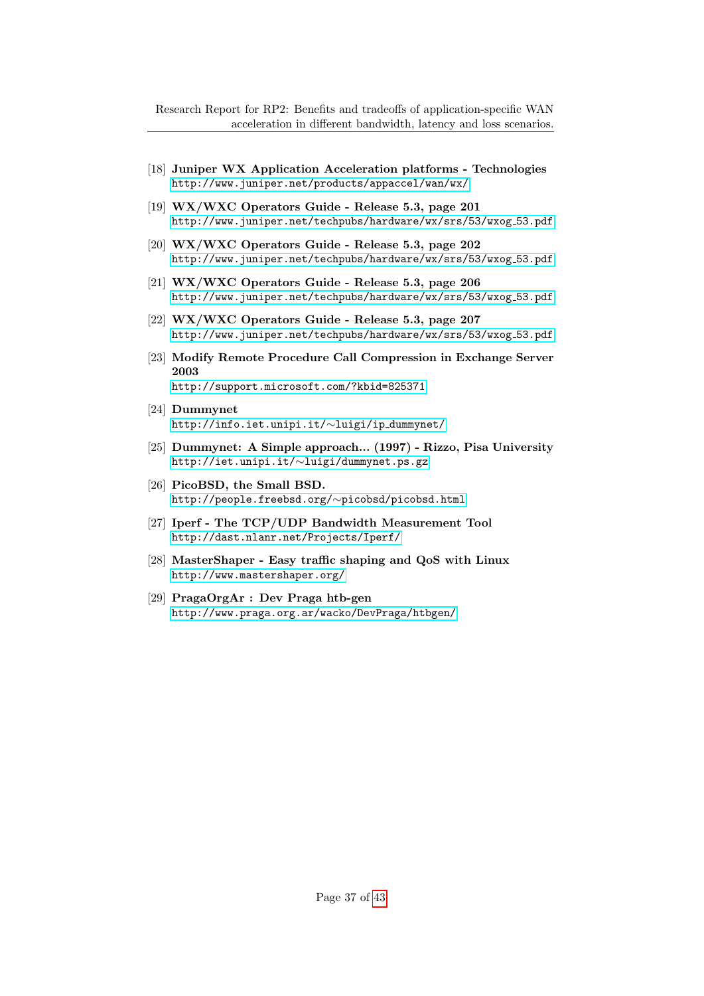- <span id="page-36-0"></span>[18] Juniper WX Application Acceleration platforms - Technologies <http://www.juniper.net/products/appaccel/wan/wx/>
- <span id="page-36-1"></span>[19] WX/WXC Operators Guide - Release 5.3, page 201 [http://www.juniper.net/techpubs/hardware/wx/srs/53/wxog](http://www.juniper.net/techpubs/hardware/wx/srs/53/wxog_53.pdf) 53.pdf
- <span id="page-36-2"></span>[20] WX/WXC Operators Guide - Release 5.3, page 202 [http://www.juniper.net/techpubs/hardware/wx/srs/53/wxog](http://www.juniper.net/techpubs/hardware/wx/srs/53/wxog_53.pdf) 53.pdf
- <span id="page-36-6"></span>[21] WX/WXC Operators Guide - Release 5.3, page 206 [http://www.juniper.net/techpubs/hardware/wx/srs/53/wxog](http://www.juniper.net/techpubs/hardware/wx/srs/53/wxog_53.pdf)\_53.pdf
- <span id="page-36-3"></span>[22] WX/WXC Operators Guide - Release 5.3, page 207 [http://www.juniper.net/techpubs/hardware/wx/srs/53/wxog](http://www.juniper.net/techpubs/hardware/wx/srs/53/wxog_53.pdf) 53.pdf
- <span id="page-36-5"></span>[23] Modify Remote Procedure Call Compression in Exchange Server 2003 <http://support.microsoft.com/?kbid=825371>
- <span id="page-36-4"></span>[24] Dummynet [http://info.iet.unipi.it/](http://info.iet.unipi.it/~luigi/ip_dummynet/)∼luigi/ip dummynet/
- <span id="page-36-9"></span>[25] Dummynet: A Simple approach... (1997) - Rizzo, Pisa University [http://iet.unipi.it/](http://iet.unipi.it/~luigi/dummynet.ps.gz)∼luigi/dummynet.ps.gz
- <span id="page-36-10"></span>[26] PicoBSD, the Small BSD. [http://people.freebsd.org/](http://people.freebsd.org/~picobsd/picobsd.html)∼picobsd/picobsd.html
- <span id="page-36-11"></span>[27] Iperf - The TCP/UDP Bandwidth Measurement Tool <http://dast.nlanr.net/Projects/Iperf/>
- <span id="page-36-7"></span>[28] MasterShaper - Easy traffic shaping and QoS with Linux <http://www.mastershaper.org/>
- <span id="page-36-8"></span>[29] PragaOrgAr : Dev Praga htb-gen <http://www.praga.org.ar/wacko/DevPraga/htbgen/>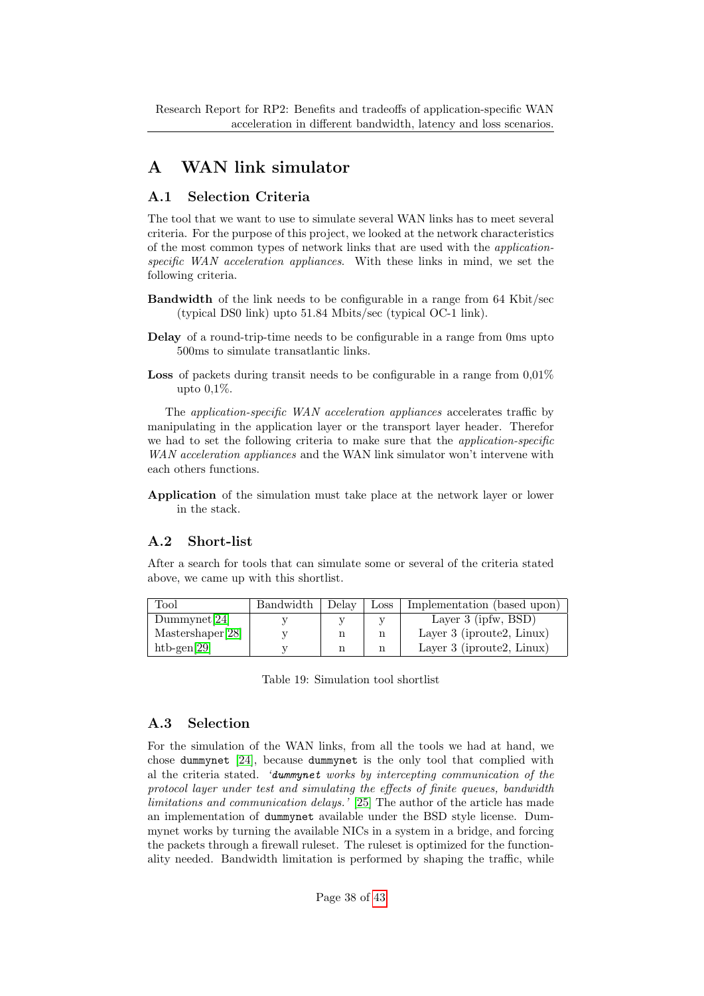Research Report for RP2: Benefits and tradeoffs of application-specific WAN acceleration in different bandwidth, latency and loss scenarios.

# <span id="page-37-0"></span>A WAN link simulator

## <span id="page-37-1"></span>A.1 Selection Criteria

The tool that we want to use to simulate several WAN links has to meet several criteria. For the purpose of this project, we looked at the network characteristics of the most common types of network links that are used with the applicationspecific WAN acceleration appliances. With these links in mind, we set the following criteria.

- Bandwidth of the link needs to be configurable in a range from 64 Kbit/sec (typical DS0 link) upto 51.84 Mbits/sec (typical OC-1 link).
- Delay of a round-trip-time needs to be configurable in a range from 0ms upto 500ms to simulate transatlantic links.
- **Loss** of packets during transit needs to be configurable in a range from  $0.01\%$ upto 0,1%.

The *application-specific WAN acceleration appliances* accelerates traffic by manipulating in the application layer or the transport layer header. Therefor we had to set the following criteria to make sure that the *application-specific* WAN acceleration appliances and the WAN link simulator won't intervene with each others functions.

Application of the simulation must take place at the network layer or lower in the stack.

## <span id="page-37-2"></span>A.2 Short-list

After a search for tools that can simulate some or several of the criteria stated above, we came up with this shortlist.

| $_{\rm Tool}$    | Bandwidth | Delay | Loss | Implementation (based upon)  |
|------------------|-----------|-------|------|------------------------------|
| Dummynet[24]     |           |       |      | Layer $3$ (ipfw, BSD)        |
| Mastershaper[28] |           |       |      | Layer 3 (iproute2, Linux)    |
| htb-gen $[29]$   |           |       |      | Layer 3 (iproute2, $Linux$ ) |

<span id="page-37-4"></span>Table 19: Simulation tool shortlist

## <span id="page-37-3"></span>A.3 Selection

For the simulation of the WAN links, from all the tools we had at hand, we chose dummynet [\[24\]](#page-36-4), because dummynet is the only tool that complied with al the criteria stated. 'dummynet works by intercepting communication of the protocol layer under test and simulating the effects of finite queues, bandwidth limitations and communication delays.' [\[25\]](#page-36-9) The author of the article has made an implementation of dummynet available under the BSD style license. Dummynet works by turning the available NICs in a system in a bridge, and forcing the packets through a firewall ruleset. The ruleset is optimized for the functionality needed. Bandwidth limitation is performed by shaping the traffic, while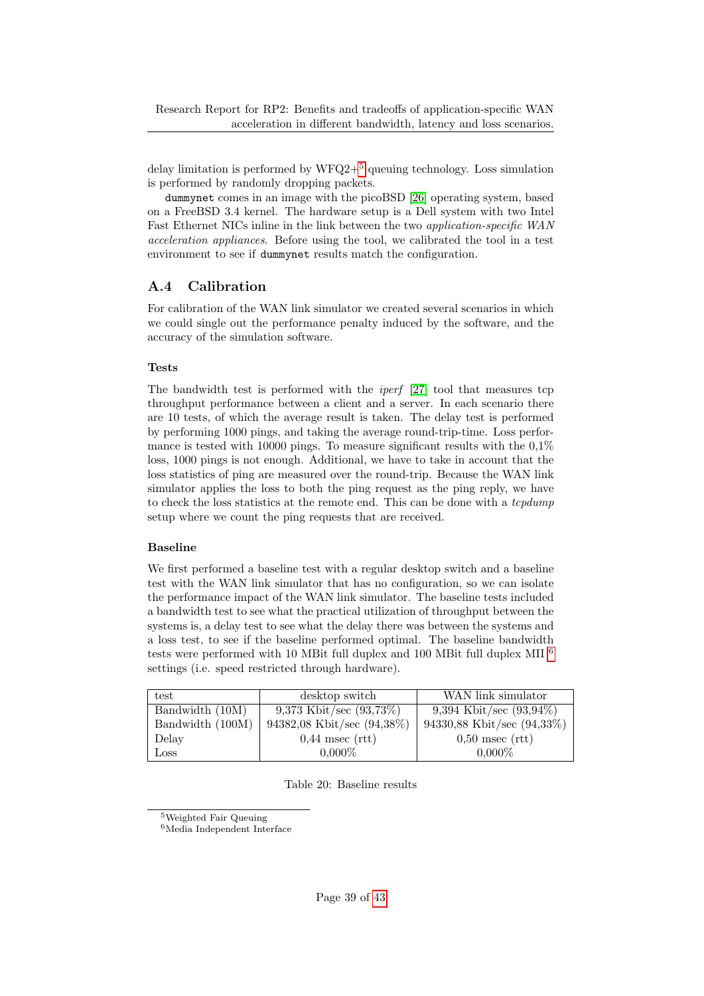delay limitation is performed by  $WFQ2+^5$  $WFQ2+^5$  queuing technology. Loss simulation is performed by randomly dropping packets.

dummynet comes in an image with the picoBSD [\[26\]](#page-36-10) operating system, based on a FreeBSD 3.4 kernel. The hardware setup is a Dell system with two Intel Fast Ethernet NICs inline in the link between the two *application-specific WAN* acceleration appliances. Before using the tool, we calibrated the tool in a test environment to see if dummynet results match the configuration.

## <span id="page-38-0"></span>A.4 Calibration

For calibration of the WAN link simulator we created several scenarios in which we could single out the performance penalty induced by the software, and the accuracy of the simulation software.

#### Tests

The bandwidth test is performed with the iperf [\[27\]](#page-36-11) tool that measures tcp throughput performance between a client and a server. In each scenario there are 10 tests, of which the average result is taken. The delay test is performed by performing 1000 pings, and taking the average round-trip-time. Loss performance is tested with 10000 pings. To measure significant results with the  $0.1\%$ loss, 1000 pings is not enough. Additional, we have to take in account that the loss statistics of ping are measured over the round-trip. Because the WAN link simulator applies the loss to both the ping request as the ping reply, we have to check the loss statistics at the remote end. This can be done with a *tcpdump* setup where we count the ping requests that are received.

#### Baseline

We first performed a baseline test with a regular desktop switch and a baseline test with the WAN link simulator that has no configuration, so we can isolate the performance impact of the WAN link simulator. The baseline tests included a bandwidth test to see what the practical utilization of throughput between the systems is, a delay test to see what the delay there was between the systems and a loss test, to see if the baseline performed optimal. The baseline bandwidth tests were performed with 10 MBit full duplex and 100 MBit full duplex MII [6](#page-38-2) settings (i.e. speed restricted through hardware).

| test             | desktop switch             | WAN link simulator         |
|------------------|----------------------------|----------------------------|
| Bandwidth (10M)  | 9,373 Kbit/sec $(93,73\%)$ | 9,394 Kbit/sec $(93,94\%)$ |
| Bandwidth (100M) | 94382,08 Kbit/sec (94,38%) | 94330,88 Kbit/sec (94,33%) |
| Delay            | $0,44$ msec (rtt)          | $0.50$ msec (rtt)          |
| Loss             | $0,000\%$                  | $0,000\%$                  |

<span id="page-38-3"></span>Table 20: Baseline results

<span id="page-38-1"></span><sup>5</sup>Weighted Fair Queuing

<span id="page-38-2"></span><sup>6</sup>Media Independent Interface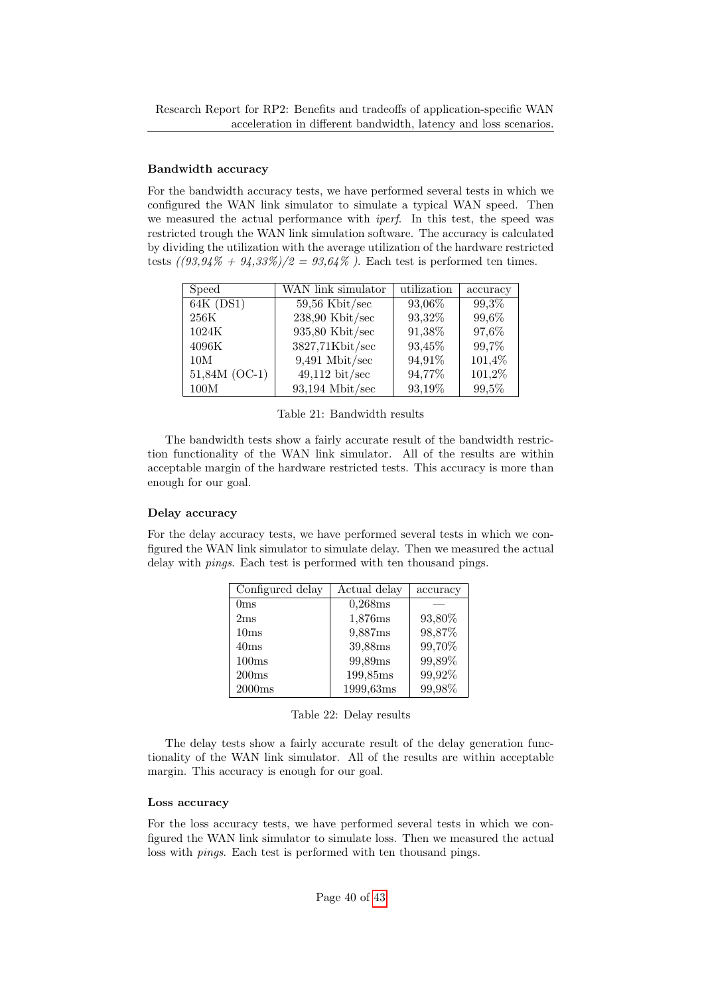#### Bandwidth accuracy

For the bandwidth accuracy tests, we have performed several tests in which we configured the WAN link simulator to simulate a typical WAN speed. Then we measured the actual performance with *iperf*. In this test, the speed was restricted trough the WAN link simulation software. The accuracy is calculated by dividing the utilization with the average utilization of the hardware restricted tests  $((93.94\% + 94.33\%)/2 = 93.64\%$ . Each test is performed ten times.

| Speed         | WAN link simulator       | utilization | accuracy |
|---------------|--------------------------|-------------|----------|
| $64K$ (DS1)   | $59,56$ Kbit/sec         | 93,06%      | 99,3%    |
| 256K          | $238,90$ Kbit/sec        | 93,32%      | 99,6%    |
| 1024K         | $935,80$ Kbit/sec        | 91,38%      | 97,6%    |
| 4096K         | 3827,71Kbit/sec          | 93,45%      | 99,7%    |
| 10M           | $9,491$ Mbit/sec         | 94,91%      | 101,4%   |
| 51,84M (OC-1) | $49,112 \text{ bit/sec}$ | 94,77%      | 101,2%   |
| 100M          | $93,194$ Mbit/sec        | 93,19%      | 99,5%    |

<span id="page-39-0"></span>Table 21: Bandwidth results

The bandwidth tests show a fairly accurate result of the bandwidth restriction functionality of the WAN link simulator. All of the results are within acceptable margin of the hardware restricted tests. This accuracy is more than enough for our goal.

#### Delay accuracy

For the delay accuracy tests, we have performed several tests in which we configured the WAN link simulator to simulate delay. Then we measured the actual delay with pings. Each test is performed with ten thousand pings.

| Configured delay  | Actual delay | accuracy |
|-------------------|--------------|----------|
| 0 <sub>ms</sub>   | 0,268ms      |          |
| 2ms               | 1,876ms      | 93,80%   |
| 10ms              | 9,887ms      | 98,87%   |
| 40ms              | 39,88ms      | 99,70%   |
| 100ms             | 99,89ms      | 99,89%   |
| 200ms             | 199,85ms     | 99,92%   |
| $2000\mathrm{ms}$ | 1999,63ms    | 99,98%   |

<span id="page-39-1"></span>

|  |  |  | Table 22: Delay results |
|--|--|--|-------------------------|
|--|--|--|-------------------------|

The delay tests show a fairly accurate result of the delay generation functionality of the WAN link simulator. All of the results are within acceptable margin. This accuracy is enough for our goal.

#### Loss accuracy

For the loss accuracy tests, we have performed several tests in which we configured the WAN link simulator to simulate loss. Then we measured the actual loss with pings. Each test is performed with ten thousand pings.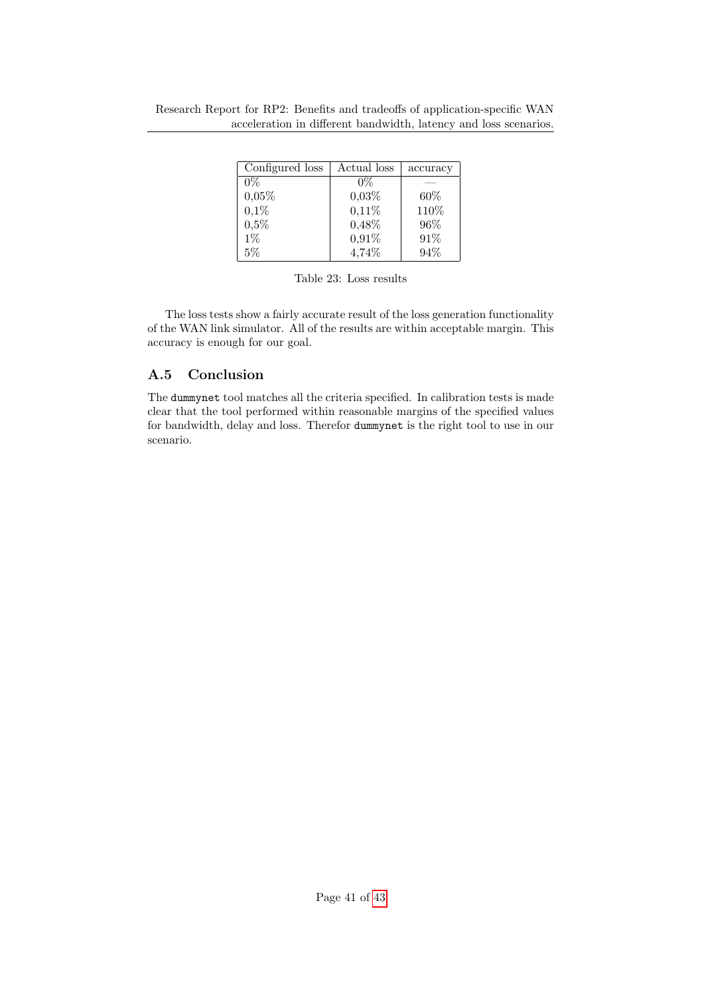| Configured loss | Actual loss | accuracy |
|-----------------|-------------|----------|
| $0\%$           | $0\%$       |          |
| 0,05%           | 0.03%       | 60%      |
| 0,1%            | $0,11\%$    | 110%     |
| 0,5%            | 0,48%       | 96\%     |
| $1\%$           | 0,91%       | 91\%     |
| 5%              | 4,74%       | 94%      |

<span id="page-40-1"></span>

The loss tests show a fairly accurate result of the loss generation functionality of the WAN link simulator. All of the results are within acceptable margin. This accuracy is enough for our goal.

## <span id="page-40-0"></span>A.5 Conclusion

The dummynet tool matches all the criteria specified. In calibration tests is made clear that the tool performed within reasonable margins of the specified values for bandwidth, delay and loss. Therefor dummynet is the right tool to use in our scenario.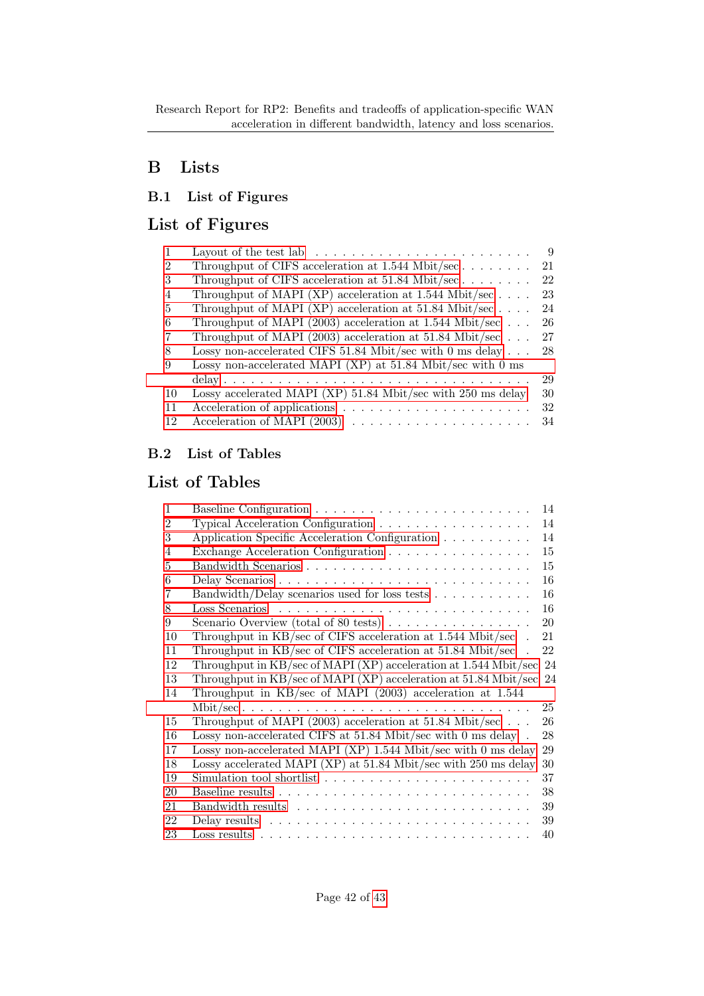# <span id="page-41-0"></span>B Lists

## <span id="page-41-1"></span>B.1 List of Figures

# List of Figures

|                | Layout of the test lab $\ldots \ldots \ldots \ldots \ldots \ldots \ldots \ldots$ | 9  |
|----------------|----------------------------------------------------------------------------------|----|
| $\overline{2}$ | Throughput of CIFS acceleration at $1.544$ Mbit/sec                              | 21 |
| 3              | Throughput of CIFS acceleration at $51.84$ Mbit/sec                              | 22 |
| 4              | Throughput of MAPI (XP) acceleration at 1.544 Mbit/sec                           | 23 |
| 5              | Throughput of MAPI (XP) acceleration at 51.84 Mbit/sec                           | 24 |
| 6              | Throughput of MAPI (2003) acceleration at 1.544 Mbit/sec                         | 26 |
| 7              | Throughput of MAPI (2003) acceleration at 51.84 Mbit/sec                         | 27 |
| 8              | Lossy non-accelerated CIFS 51.84 Mbit/sec with 0 ms delay                        | 28 |
| 9              | Lossy non-accelerated MAPI (XP) at $51.84$ Mbit/sec with 0 ms                    |    |
|                |                                                                                  | 29 |
| 10             | Lossy accelerated MAPI (XP) 51.84 Mbit/sec with 250 ms delay                     | 30 |
| 11             |                                                                                  | 32 |
| 12             |                                                                                  | 34 |

## <span id="page-41-2"></span>B.2 List of Tables

# List of Tables

| 1              |                                                                             | 14 |
|----------------|-----------------------------------------------------------------------------|----|
| $\overline{2}$ | Typical Acceleration Configuration                                          | 14 |
| 3              | Application Specific Acceleration Configuration                             | 14 |
| 4              | Exchange Acceleration Configuration                                         | 15 |
| 5              |                                                                             | 15 |
| 6              |                                                                             | 16 |
| 7              | Bandwidth/Delay scenarios used for loss tests                               | 16 |
| 8              |                                                                             | 16 |
| 9              | Scenario Overview (total of 80 tests) $\ldots \ldots \ldots \ldots \ldots$  | 20 |
| 10             | Throughput in $KB/sec$ of CIFS acceleration at 1.544 Mbit/sec.              | 21 |
| 11             | Throughput in KB/sec of CIFS acceleration at 51.84 Mbit/sec                 | 22 |
| 12             | Throughput in KB/sec of MAPI (XP) acceleration at 1.544 Mbit/sec            | 24 |
|                |                                                                             |    |
| 13             | Throughput in KB/sec of MAPI (XP) acceleration at 51.84 Mbit/sec 24         |    |
| 14             | Throughput in KB/sec of MAPI (2003) acceleration at 1.544                   |    |
|                |                                                                             | 25 |
| 15             | Throughput of MAPI (2003) acceleration at 51.84 Mbit/sec $\ldots$           | 26 |
| 16             | Lossy non-accelerated CIFS at $51.84$ Mbit/sec with 0 ms delay.             | 28 |
| 17             | Lossy non-accelerated MAPI (XP) 1.544 Mbit/sec with 0 ms delay              | 29 |
| 18             | Lossy accelerated MAPI (XP) at 51.84 Mbit/sec with 250 ms delay             | 30 |
| 19             | Simulation tool shortlist $\dots \dots \dots \dots \dots \dots \dots \dots$ | 37 |
| 20             |                                                                             | 38 |
| 21             |                                                                             | 39 |
| 22             |                                                                             | 39 |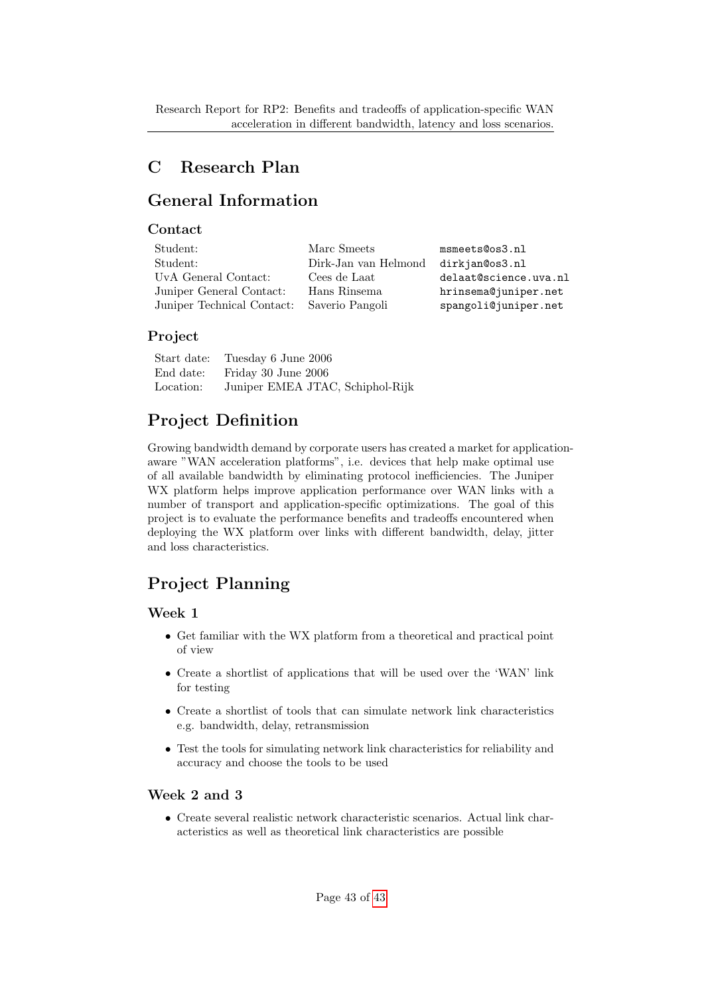# <span id="page-42-1"></span><span id="page-42-0"></span>C Research Plan

# General Information

## **Contact**

| Student:                   | Marc Smeets          | msmeets@os3.nl        |
|----------------------------|----------------------|-----------------------|
| Student:                   | Dirk-Jan van Helmond | dirkjan@os3.nl        |
| UvA General Contact:       | Cees de Laat         | delaat@science.uva.nl |
| Juniper General Contact:   | Hans Rinsema         | hrinsema@juniper.net  |
| Juniper Technical Contact: | Saverio Pangoli      | spangoli@juniper.net  |

## Project

| Start date: | Tuesday 6 June 2006              |
|-------------|----------------------------------|
| End date:   | Friday 30 June 2006              |
| Location:   | Juniper EMEA JTAC, Schiphol-Rijk |

# Project Definition

Growing bandwidth demand by corporate users has created a market for applicationaware "WAN acceleration platforms", i.e. devices that help make optimal use of all available bandwidth by eliminating protocol inefficiencies. The Juniper WX platform helps improve application performance over WAN links with a number of transport and application-specific optimizations. The goal of this project is to evaluate the performance benefits and tradeoffs encountered when deploying the WX platform over links with different bandwidth, delay, jitter and loss characteristics.

# Project Planning

## Week 1

- Get familiar with the WX platform from a theoretical and practical point of view
- Create a shortlist of applications that will be used over the 'WAN' link for testing
- Create a shortlist of tools that can simulate network link characteristics e.g. bandwidth, delay, retransmission
- Test the tools for simulating network link characteristics for reliability and accuracy and choose the tools to be used

## Week 2 and 3

• Create several realistic network characteristic scenarios. Actual link characteristics as well as theoretical link characteristics are possible